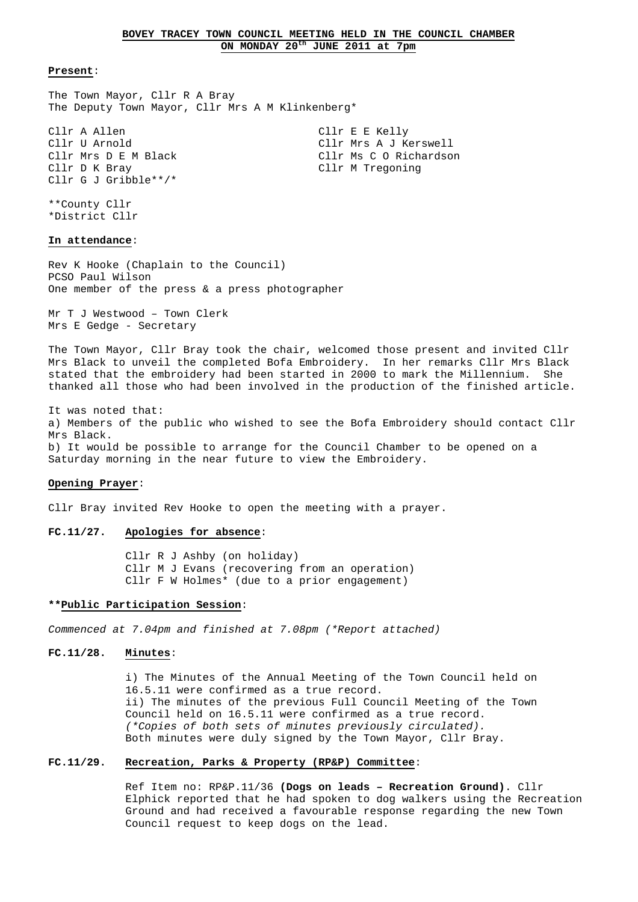The Town Mayor, Cllr R A Bray The Deputy Town Mayor, Cllr Mrs A M Klinkenberg\*

Cllr A Allen Cllr E Kelly Cllr U Arnold Cllr Mrs A J Kerswell Cllr Mrs D E M Black Cllr Ms C O Richardson Cllr D K Bray Cllr M Tregoning Cllr G J Gribble\*\*/\*

\*\*County Cllr \*District Cllr

# **In attendance**:

Rev K Hooke (Chaplain to the Council) PCSO Paul Wilson One member of the press & a press photographer

Mr T J Westwood – Town Clerk Mrs E Gedge - Secretary

The Town Mayor, Cllr Bray took the chair, welcomed those present and invited Cllr Mrs Black to unveil the completed Bofa Embroidery. In her remarks Cllr Mrs Black stated that the embroidery had been started in 2000 to mark the Millennium. She thanked all those who had been involved in the production of the finished article.

It was noted that: a) Members of the public who wished to see the Bofa Embroidery should contact Cllr Mrs Black. b) It would be possible to arrange for the Council Chamber to be opened on a Saturday morning in the near future to view the Embroidery.

#### **Opening Prayer**:

Cllr Bray invited Rev Hooke to open the meeting with a prayer.

# **FC.11/27. Apologies for absence**:

 Cllr R J Ashby (on holiday) Cllr M J Evans (recovering from an operation) Cllr F W Holmes\* (due to a prior engagement)

# **\*\*Public Participation Session**:

Commenced at 7.04pm and finished at 7.08pm (\*Report attached)

# **FC.11/28. Minutes**:

 i) The Minutes of the Annual Meeting of the Town Council held on 16.5.11 were confirmed as a true record. ii) The minutes of the previous Full Council Meeting of the Town Council held on 16.5.11 were confirmed as a true record. (\*Copies of both sets of minutes previously circulated). Both minutes were duly signed by the Town Mayor, Cllr Bray.

#### **FC.11/29. Recreation, Parks & Property (RP&P) Committee**:

 Ref Item no: RP&P.11/36 **(Dogs on leads – Recreation Ground)**. Cllr Elphick reported that he had spoken to dog walkers using the Recreation Ground and had received a favourable response regarding the new Town Council request to keep dogs on the lead.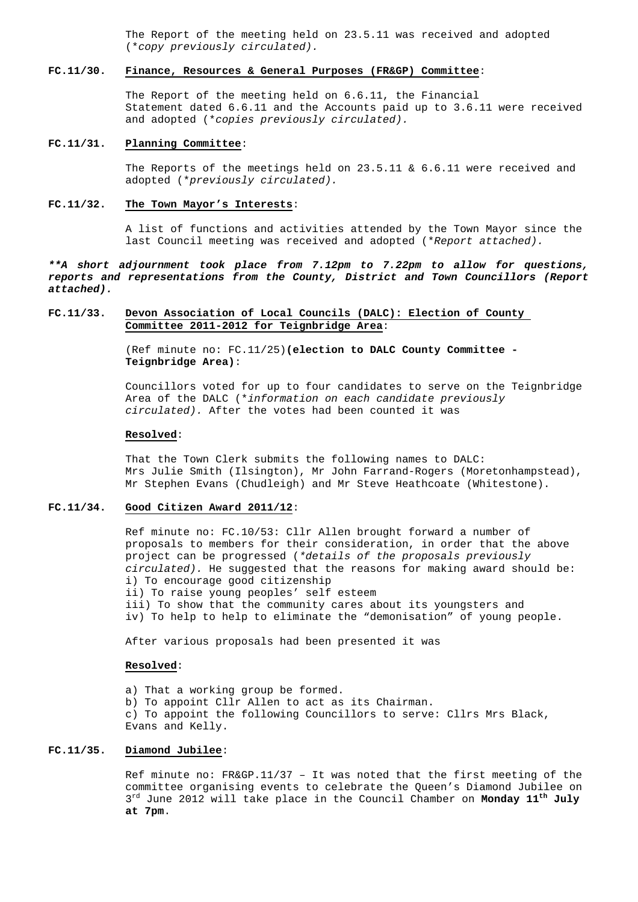The Report of the meeting held on 23.5.11 was received and adopted (\*copy previously circulated).

# **FC.11/30. Finance, Resources & General Purposes (FR&GP) Committee**:

 The Report of the meeting held on 6.6.11, the Financial Statement dated 6.6.11 and the Accounts paid up to 3.6.11 were received and adopted (\*copies previously circulated).

#### **FC.11/31. Planning Committee**:

The Reports of the meetings held on  $23.5.11 \times 6.6.11$  were received and adopted (\*previously circulated).

# **FC.11/32. The Town Mayor's Interests**:

 A list of functions and activities attended by the Town Mayor since the last Council meeting was received and adopted (\*Report attached).

**\*\*A short adjournment took place from 7.12pm to 7.22pm to allow for questions, reports and representations from the County, District and Town Councillors (Report attached).**

# **FC.11/33. Devon Association of Local Councils (DALC): Election of County Committee 2011-2012 for Teignbridge Area**:

 (Ref minute no: FC.11/25)**(election to DALC County Committee - Teignbridge Area)**:

 Councillors voted for up to four candidates to serve on the Teignbridge Area of the DALC (\*information on each candidate previously circulated). After the votes had been counted it was

#### **Resolved**:

 That the Town Clerk submits the following names to DALC: Mrs Julie Smith (Ilsington), Mr John Farrand-Rogers (Moretonhampstead), Mr Stephen Evans (Chudleigh) and Mr Steve Heathcoate (Whitestone).

#### **FC.11/34. Good Citizen Award 2011/12**:

 Ref minute no: FC.10/53: Cllr Allen brought forward a number of proposals to members for their consideration, in order that the above project can be progressed (\*details of the proposals previously circulated). He suggested that the reasons for making award should be: i) To encourage good citizenship

 ii) To raise young peoples' self esteem iii) To show that the community cares about its youngsters and iv) To help to help to eliminate the "demonisation" of young people.

After various proposals had been presented it was

#### **Resolved**:

 a) That a working group be formed. b) To appoint Cllr Allen to act as its Chairman. c) To appoint the following Councillors to serve: Cllrs Mrs Black, Evans and Kelly.

## **FC.11/35. Diamond Jubilee**:

 Ref minute no: FR&GP.11/37 – It was noted that the first meeting of the committee organising events to celebrate the Queen's Diamond Jubilee on 3rd June 2012 will take place in the Council Chamber on **Monday 11th July at 7pm**.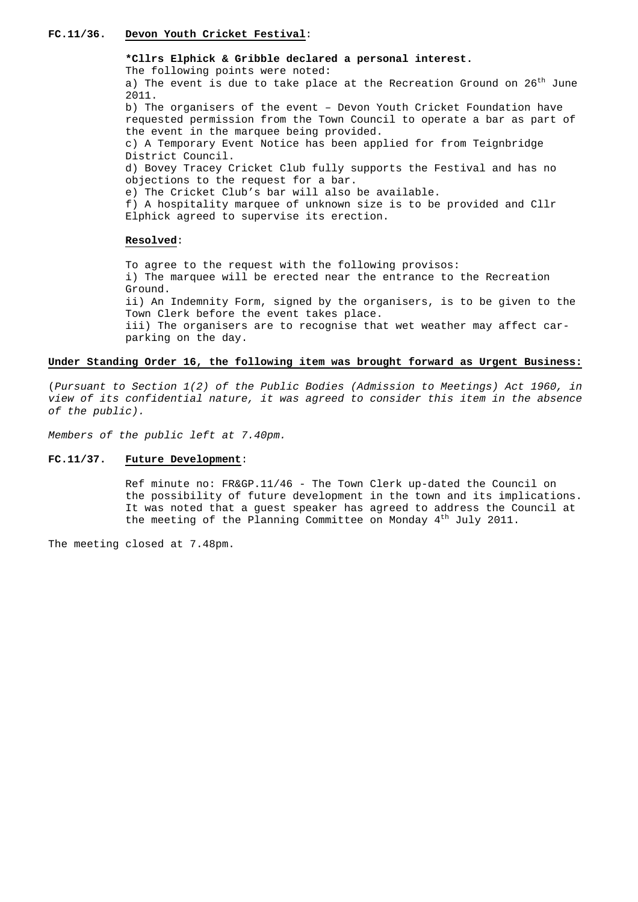## **FC.11/36. Devon Youth Cricket Festival**:

# **\*Cllrs Elphick & Gribble declared a personal interest.**

The following points were noted:

a) The event is due to take place at the Recreation Ground on  $26<sup>th</sup>$  June 2011.

 b) The organisers of the event – Devon Youth Cricket Foundation have requested permission from the Town Council to operate a bar as part of the event in the marquee being provided. c) A Temporary Event Notice has been applied for from Teignbridge

District Council.

 d) Bovey Tracey Cricket Club fully supports the Festival and has no objections to the request for a bar.

e) The Cricket Club's bar will also be available.

f) A hospitality marquee of unknown size is to be provided and Cllr Elphick agreed to supervise its erection.

# **Resolved**:

 To agree to the request with the following provisos: i) The marquee will be erected near the entrance to the Recreation Ground. ii) An Indemnity Form, signed by the organisers, is to be given to the Town Clerk before the event takes place. iii) The organisers are to recognise that wet weather may affect car parking on the day.

#### **Under Standing Order 16, the following item was brought forward as Urgent Business:**

(Pursuant to Section 1(2) of the Public Bodies (Admission to Meetings) Act 1960, in view of its confidential nature, it was agreed to consider this item in the absence of the public).

Members of the public left at 7.40pm.

#### **FC.11/37. Future Development**:

 Ref minute no: FR&GP.11/46 - The Town Clerk up-dated the Council on the possibility of future development in the town and its implications. It was noted that a guest speaker has agreed to address the Council at the meeting of the Planning Committee on Monday 4<sup>th</sup> July 2011.

The meeting closed at 7.48pm.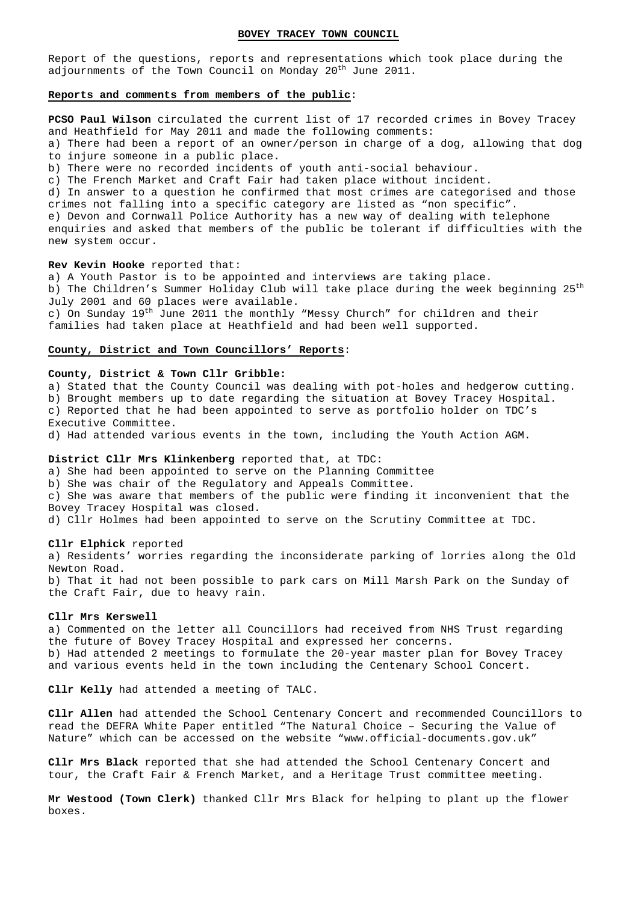#### **BOVEY TRACEY TOWN COUNCIL**

Report of the questions, reports and representations which took place during the adjournments of the Town Council on Monday 20<sup>th</sup> June 2011.

#### **Reports and comments from members of the public**:

**PCSO Paul Wilson** circulated the current list of 17 recorded crimes in Bovey Tracey and Heathfield for May 2011 and made the following comments:

a) There had been a report of an owner/person in charge of a dog, allowing that dog to injure someone in a public place.

b) There were no recorded incidents of youth anti-social behaviour.

c) The French Market and Craft Fair had taken place without incident.

d) In answer to a question he confirmed that most crimes are categorised and those crimes not falling into a specific category are listed as "non specific".

e) Devon and Cornwall Police Authority has a new way of dealing with telephone enquiries and asked that members of the public be tolerant if difficulties with the new system occur.

#### **Rev Kevin Hooke** reported that:

a) A Youth Pastor is to be appointed and interviews are taking place. b) The Children's Summer Holiday Club will take place during the week beginning 25<sup>th</sup> July 2001 and 60 places were available. c) On Sunday 19<sup>th</sup> June 2011 the monthly "Messy Church" for children and their

families had taken place at Heathfield and had been well supported.

#### **County, District and Town Councillors' Reports**:

#### **County, District & Town Cllr Gribble:**

a) Stated that the County Council was dealing with pot-holes and hedgerow cutting. b) Brought members up to date regarding the situation at Bovey Tracey Hospital. c) Reported that he had been appointed to serve as portfolio holder on TDC's Executive Committee. d) Had attended various events in the town, including the Youth Action AGM.

# **District Cllr Mrs Klinkenberg** reported that, at TDC:

a) She had been appointed to serve on the Planning Committee b) She was chair of the Regulatory and Appeals Committee.

c) She was aware that members of the public were finding it inconvenient that the Bovey Tracey Hospital was closed.

d) Cllr Holmes had been appointed to serve on the Scrutiny Committee at TDC.

#### **Cllr Elphick** reported

a) Residents' worries regarding the inconsiderate parking of lorries along the Old Newton Road. b) That it had not been possible to park cars on Mill Marsh Park on the Sunday of the Craft Fair, due to heavy rain.

#### **Cllr Mrs Kerswell**

a) Commented on the letter all Councillors had received from NHS Trust regarding the future of Bovey Tracey Hospital and expressed her concerns. b) Had attended 2 meetings to formulate the 20-year master plan for Bovey Tracey and various events held in the town including the Centenary School Concert.

**Cllr Kelly** had attended a meeting of TALC.

**Cllr Allen** had attended the School Centenary Concert and recommended Councillors to read the DEFRA White Paper entitled "The Natural Choice – Securing the Value of Nature" which can be accessed on the website "www.official-documents.gov.uk"

**Cllr Mrs Black** reported that she had attended the School Centenary Concert and tour, the Craft Fair & French Market, and a Heritage Trust committee meeting.

**Mr Westood (Town Clerk)** thanked Cllr Mrs Black for helping to plant up the flower boxes.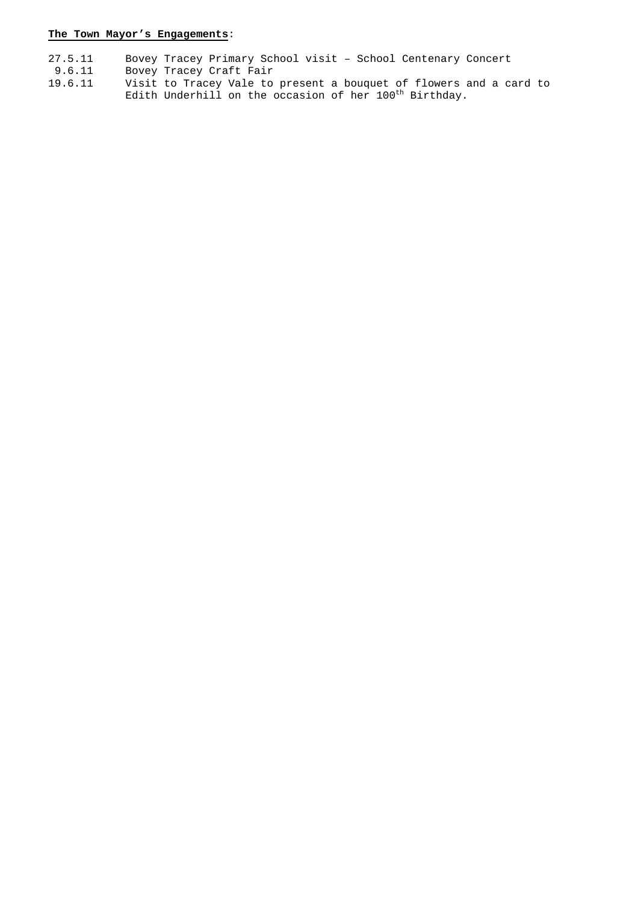# **The Town Mayor's Engagements**:

- 27.5.11 Bovey Tracey Primary School visit School Centenary Concert
- 9.6.11 Bovey Tracey Craft Fair
- 19.6.11 Visit to Tracey Vale to present a bouquet of flowers and a card to Edith Underhill on the occasion of her 100<sup>th</sup> Birthday.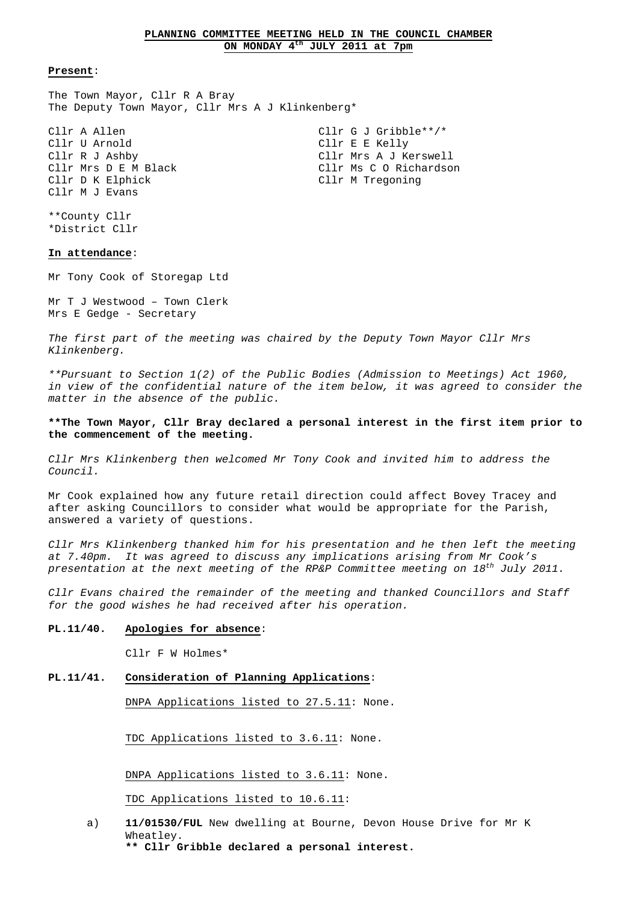The Town Mayor, Cllr R A Bray The Deputy Town Mayor, Cllr Mrs A J Klinkenberg\*

Cllr A Allen Clir G J Gribble\*\*/\* Cllr U Arnold Cllr E E Kelly Cllr D K Elphick Cllr M Tregoning Cllr M J Evans

Cllr R J Ashby Cllr Mrs A J Kerswell Cllr Mrs D E M Black Cllr Ms C O Richardson

\*\*County Cllr \*District Cllr

# **In attendance**:

Mr Tony Cook of Storegap Ltd

Mr T J Westwood – Town Clerk Mrs E Gedge - Secretary

The first part of the meeting was chaired by the Deputy Town Mayor Cllr Mrs Klinkenberg.

\*\*Pursuant to Section 1(2) of the Public Bodies (Admission to Meetings) Act 1960, in view of the confidential nature of the item below, it was agreed to consider the matter in the absence of the public.

# **\*\*The Town Mayor, Cllr Bray declared a personal interest in the first item prior to the commencement of the meeting.**

Cllr Mrs Klinkenberg then welcomed Mr Tony Cook and invited him to address the Council.

Mr Cook explained how any future retail direction could affect Bovey Tracey and after asking Councillors to consider what would be appropriate for the Parish, answered a variety of questions.

Cllr Mrs Klinkenberg thanked him for his presentation and he then left the meeting at 7.40pm. It was agreed to discuss any implications arising from Mr Cook's presentation at the next meeting of the RP&P Committee meeting on  $18^{th}$  July 2011.

Cllr Evans chaired the remainder of the meeting and thanked Councillors and Staff for the good wishes he had received after his operation.

# **PL.11/40. Apologies for absence**:

Cllr F W Holmes\*

### **PL.11/41. Consideration of Planning Applications**:

DNPA Applications listed to 27.5.11: None.

TDC Applications listed to 3.6.11: None.

DNPA Applications listed to 3.6.11: None.

TDC Applications listed to 10.6.11:

- a) **11/01530/FUL** New dwelling at Bourne, Devon House Drive for Mr K Wheatley.
	- **\*\* Cllr Gribble declared a personal interest.**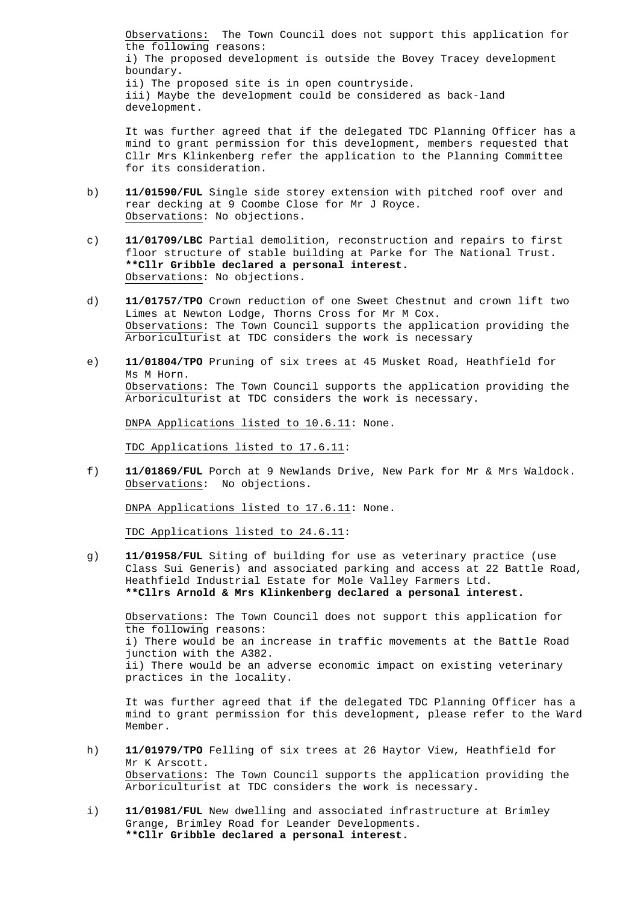Observations: The Town Council does not support this application for the following reasons: i) The proposed development is outside the Bovey Tracey development boundary. ii) The proposed site is in open countryside. iii) Maybe the development could be considered as back-land development.

 It was further agreed that if the delegated TDC Planning Officer has a mind to grant permission for this development, members requested that Cllr Mrs Klinkenberg refer the application to the Planning Committee for its consideration.

- b) **11/01590/FUL** Single side storey extension with pitched roof over and rear decking at 9 Coombe Close for Mr J Royce. Observations: No objections.
- c) **11/01709/LBC** Partial demolition, reconstruction and repairs to first floor structure of stable building at Parke for The National Trust.  **\*\*Cllr Gribble declared a personal interest.** Observations: No objections.
- d) **11/01757/TPO** Crown reduction of one Sweet Chestnut and crown lift two Limes at Newton Lodge, Thorns Cross for Mr M Cox. Observations: The Town Council supports the application providing the Arboriculturist at TDC considers the work is necessary
- e) **11/01804/TPO** Pruning of six trees at 45 Musket Road, Heathfield for Ms M Horn. Observations: The Town Council supports the application providing the Arboriculturist at TDC considers the work is necessary.

DNPA Applications listed to 10.6.11: None.

TDC Applications listed to 17.6.11:

 f) **11/01869/FUL** Porch at 9 Newlands Drive, New Park for Mr & Mrs Waldock. Observations: No objections.

DNPA Applications listed to 17.6.11: None.

TDC Applications listed to 24.6.11:

 g) **11/01958/FUL** Siting of building for use as veterinary practice (use Class Sui Generis) and associated parking and access at 22 Battle Road, Heathfield Industrial Estate for Mole Valley Farmers Ltd. **\*\*Cllrs Arnold & Mrs Klinkenberg declared a personal interest.** 

Observations: The Town Council does not support this application for the following reasons: i) There would be an increase in traffic movements at the Battle Road junction with the A382. ii) There would be an adverse economic impact on existing veterinary practices in the locality.

 It was further agreed that if the delegated TDC Planning Officer has a mind to grant permission for this development, please refer to the Ward Member.

- h) **11/01979/TPO** Felling of six trees at 26 Haytor View, Heathfield for Mr K Arscott. Observations: The Town Council supports the application providing the Arboriculturist at TDC considers the work is necessary.
- i) **11/01981/FUL** New dwelling and associated infrastructure at Brimley Grange, Brimley Road for Leander Developments. **\*\*Cllr Gribble declared a personal interest.**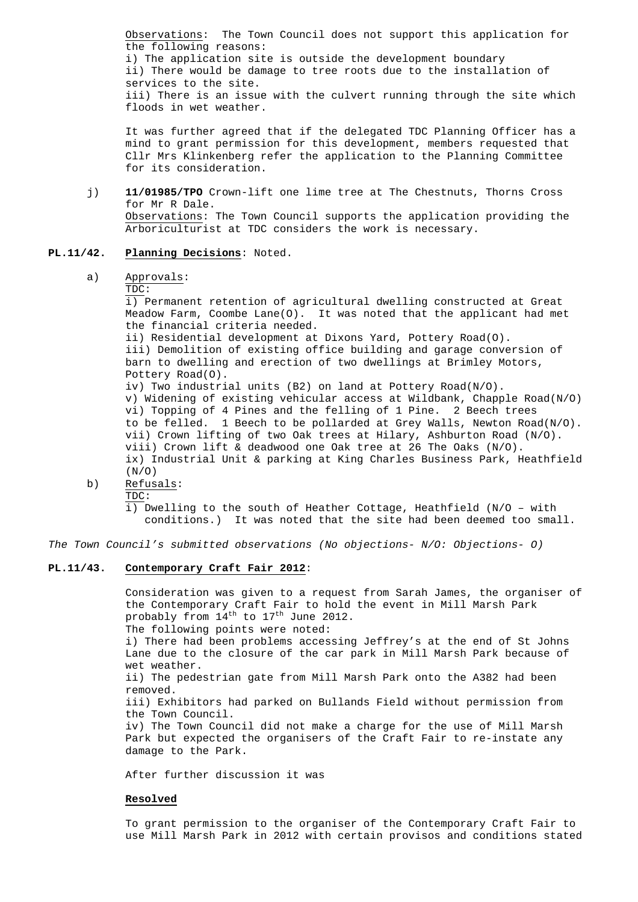Observations: The Town Council does not support this application for the following reasons: i) The application site is outside the development boundary ii) There would be damage to tree roots due to the installation of services to the site. iii) There is an issue with the culvert running through the site which floods in wet weather.

 It was further agreed that if the delegated TDC Planning Officer has a mind to grant permission for this development, members requested that Cllr Mrs Klinkenberg refer the application to the Planning Committee for its consideration.

 j) **11/01985/TPO** Crown-lift one lime tree at The Chestnuts, Thorns Cross for Mr R Dale. Observations: The Town Council supports the application providing the Arboriculturist at TDC considers the work is necessary.

# **PL.11/42. Planning Decisions**: Noted.

#### a) Approvals:

#### TDC:

 i) Permanent retention of agricultural dwelling constructed at Great Meadow Farm, Coombe Lane(O). It was noted that the applicant had met the financial criteria needed. ii) Residential development at Dixons Yard, Pottery Road(O). iii) Demolition of existing office building and garage conversion of barn to dwelling and erection of two dwellings at Brimley Motors, Pottery Road(O). iv) Two industrial units (B2) on land at Pottery Road(N/O). v) Widening of existing vehicular access at Wildbank, Chapple Road(N/O) vi) Topping of 4 Pines and the felling of 1 Pine. 2 Beech trees to be felled. 1 Beech to be pollarded at Grey Walls, Newton Road(N/O). vii) Crown lifting of two Oak trees at Hilary, Ashburton Road (N/O). viii) Crown lift & deadwood one Oak tree at 26 The Oaks (N/O). ix) Industrial Unit & parking at King Charles Business Park, Heathfield  $(N/O)$ 

b) Refusals:

TDC:

 i) Dwelling to the south of Heather Cottage, Heathfield (N/O – with conditions.) It was noted that the site had been deemed too small.

The Town Council's submitted observations (No objections- N/O: Objections- O)

# **PL.11/43. Contemporary Craft Fair 2012**:

 Consideration was given to a request from Sarah James, the organiser of the Contemporary Craft Fair to hold the event in Mill Marsh Park probably from  $14^{\text{th}}$  to  $17^{\text{th}}$  June 2012. The following points were noted: i) There had been problems accessing Jeffrey's at the end of St Johns Lane due to the closure of the car park in Mill Marsh Park because of wet weather.

 ii) The pedestrian gate from Mill Marsh Park onto the A382 had been removed.

 iii) Exhibitors had parked on Bullands Field without permission from the Town Council.

 iv) The Town Council did not make a charge for the use of Mill Marsh Park but expected the organisers of the Craft Fair to re-instate any damage to the Park.

After further discussion it was

#### **Resolved**

 To grant permission to the organiser of the Contemporary Craft Fair to use Mill Marsh Park in 2012 with certain provisos and conditions stated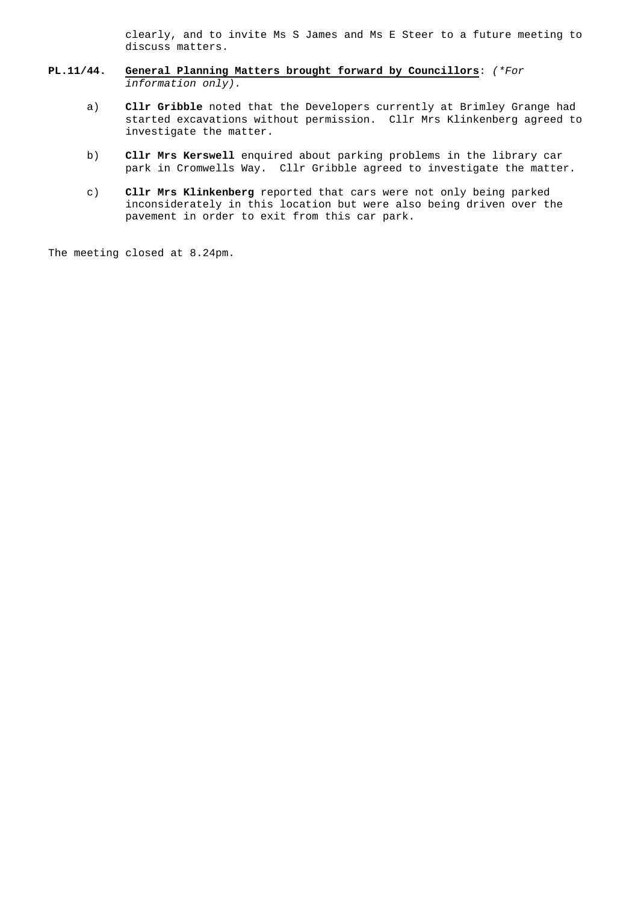clearly, and to invite Ms S James and Ms E Steer to a future meeting to discuss matters.

- **PL.11/44. General Planning Matters brought forward by Councillors**: (\*For information only).
	- a) **Cllr Gribble** noted that the Developers currently at Brimley Grange had started excavations without permission. Cllr Mrs Klinkenberg agreed to investigate the matter.
	- b) **Cllr Mrs Kerswell** enquired about parking problems in the library car park in Cromwells Way. Cllr Gribble agreed to investigate the matter.
	- c) **Cllr Mrs Klinkenberg** reported that cars were not only being parked inconsiderately in this location but were also being driven over the pavement in order to exit from this car park.

The meeting closed at 8.24pm.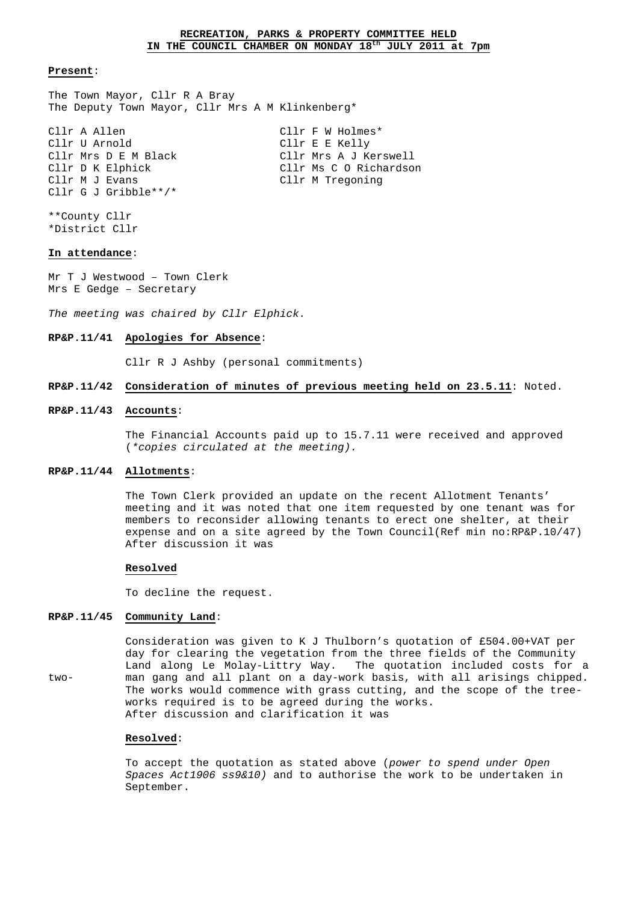The Town Mayor, Cllr R A Bray The Deputy Town Mayor, Cllr Mrs A M Klinkenberg\*

Cllr A Allen Cllr F W Holmes\* Cllr U Arnold Cllr E E Kelly Cllr Mrs D E M Black Cllr Mrs A J Kerswell Cllr D K Elphick Cllr Ms C O Richardson Cllr M J Evans Cllr M Tregoning Cllr G J Gribble\*\*/\*

\*\*County Cllr \*District Cllr

# **In attendance**:

Mr T J Westwood – Town Clerk Mrs E Gedge – Secretary

The meeting was chaired by Cllr Elphick.

#### **RP&P.11/41 Apologies for Absence**:

Cllr R J Ashby (personal commitments)

# **RP&P.11/42 Consideration of minutes of previous meeting held on 23.5.11**: Noted.

#### **RP&P.11/43 Accounts**:

 The Financial Accounts paid up to 15.7.11 were received and approved (\*copies circulated at the meeting).

#### **RP&P.11/44 Allotments**:

 The Town Clerk provided an update on the recent Allotment Tenants' meeting and it was noted that one item requested by one tenant was for members to reconsider allowing tenants to erect one shelter, at their expense and on a site agreed by the Town Council(Ref min no:RP&P.10/47) After discussion it was

# **Resolved**

To decline the request.

# **RP&P.11/45 Community Land**:

 Consideration was given to K J Thulborn's quotation of £504.00+VAT per day for clearing the vegetation from the three fields of the Community Land along Le Molay-Littry Way. The quotation included costs for a two- man gang and all plant on a day-work basis, with all arisings chipped. The works would commence with grass cutting, and the scope of the tree works required is to be agreed during the works. After discussion and clarification it was

#### **Resolved**:

To accept the quotation as stated above (power to spend under Open Spaces Act1906 ss9&10) and to authorise the work to be undertaken in September.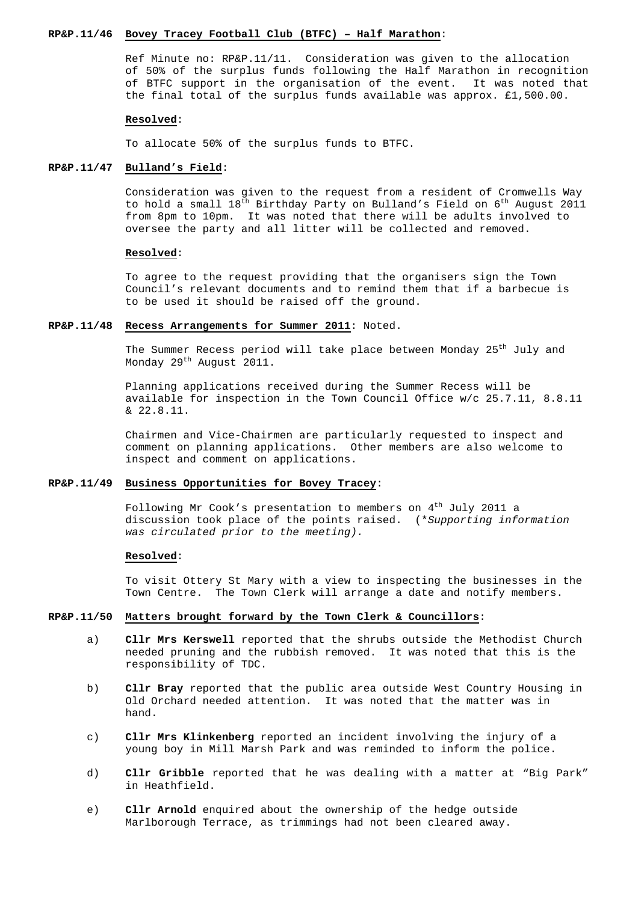#### **RP&P.11/46 Bovey Tracey Football Club (BTFC) – Half Marathon**:

 Ref Minute no: RP&P.11/11. Consideration was given to the allocation of 50% of the surplus funds following the Half Marathon in recognition of BTFC support in the organisation of the event. It was noted that the final total of the surplus funds available was approx. £1,500.00.

#### **Resolved**:

To allocate 50% of the surplus funds to BTFC.

# **RP&P.11/47 Bulland's Field**:

 Consideration was given to the request from a resident of Cromwells Way to hold a small  $18^{th}$  Birthday Party on Bulland's Field on  $6^{th}$  August 2011 from 8pm to 10pm. It was noted that there will be adults involved to oversee the party and all litter will be collected and removed.

# **Resolved**:

To agree to the request providing that the organisers sign the Town Council's relevant documents and to remind them that if a barbecue is to be used it should be raised off the ground.

# **RP&P.11/48 Recess Arrangements for Summer 2011**: Noted.

The Summer Recess period will take place between Monday 25<sup>th</sup> July and Monday 29<sup>th</sup> August 2011.

Planning applications received during the Summer Recess will be available for inspection in the Town Council Office w/c 25.7.11, 8.8.11 & 22.8.11.

 Chairmen and Vice-Chairmen are particularly requested to inspect and comment on planning applications. Other members are also welcome to inspect and comment on applications.

#### **RP&P.11/49 Business Opportunities for Bovey Tracey**:

Following Mr Cook's presentation to members on  $4<sup>th</sup>$  July 2011 a discussion took place of the points raised. (\*Supporting information was circulated prior to the meeting).

# **Resolved**:

 To visit Ottery St Mary with a view to inspecting the businesses in the Town Centre. The Town Clerk will arrange a date and notify members.

# **RP&P.11/50 Matters brought forward by the Town Clerk & Councillors**:

- a) **Cllr Mrs Kerswell** reported that the shrubs outside the Methodist Church needed pruning and the rubbish removed. It was noted that this is the responsibility of TDC.
- b) **Cllr Bray** reported that the public area outside West Country Housing in Old Orchard needed attention. It was noted that the matter was in hand.
- c) **Cllr Mrs Klinkenberg** reported an incident involving the injury of a young boy in Mill Marsh Park and was reminded to inform the police.
- d) **Cllr Gribble** reported that he was dealing with a matter at "Big Park" in Heathfield.
- e) **Cllr Arnold** enquired about the ownership of the hedge outside Marlborough Terrace, as trimmings had not been cleared away.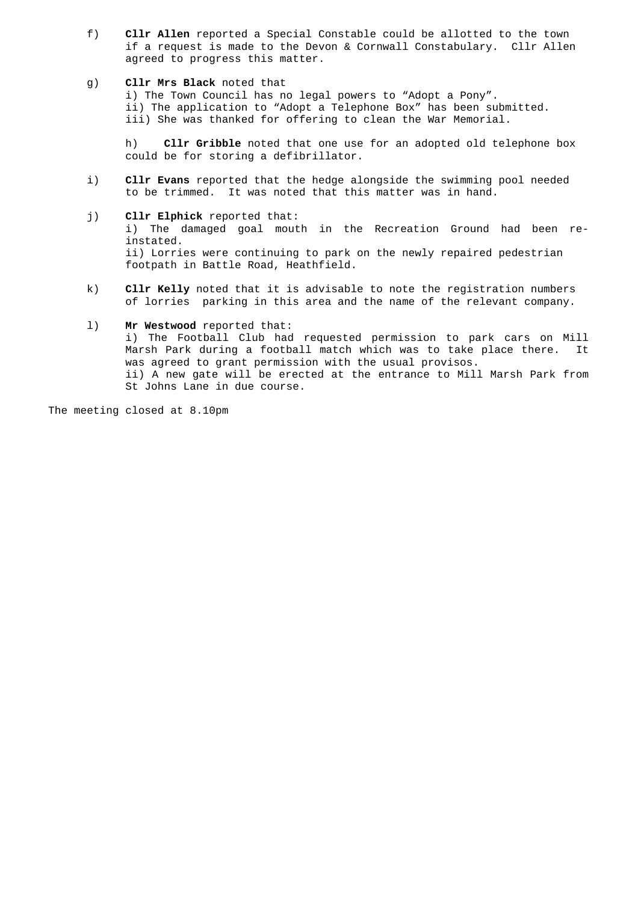f) **Cllr Allen** reported a Special Constable could be allotted to the town if a request is made to the Devon & Cornwall Constabulary. Cllr Allen agreed to progress this matter.

#### g) **Cllr Mrs Black** noted that

 i) The Town Council has no legal powers to "Adopt a Pony". ii) The application to "Adopt a Telephone Box" has been submitted. iii) She was thanked for offering to clean the War Memorial.

 h) **Cllr Gribble** noted that one use for an adopted old telephone box could be for storing a defibrillator.

- i) **Cllr Evans** reported that the hedge alongside the swimming pool needed to be trimmed. It was noted that this matter was in hand.
- j) **Cllr Elphick** reported that: i) The damaged goal mouth in the Recreation Ground had been reinstated. ii) Lorries were continuing to park on the newly repaired pedestrian footpath in Battle Road, Heathfield.
- k) **Cllr Kelly** noted that it is advisable to note the registration numbers of lorries parking in this area and the name of the relevant company.

# l) **Mr Westwood** reported that: i) The Football Club had requested permission to park cars on Mill Marsh Park during a football match which was to take place there. It was agreed to grant permission with the usual provisos. ii) A new gate will be erected at the entrance to Mill Marsh Park from St Johns Lane in due course.

The meeting closed at 8.10pm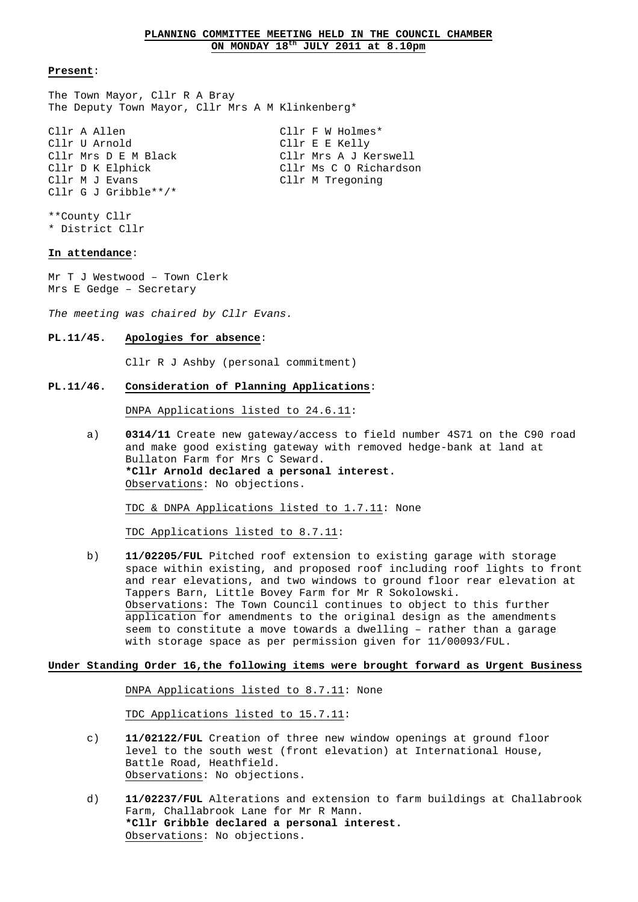The Town Mayor, Cllr R A Bray The Deputy Town Mayor, Cllr Mrs A M Klinkenberg\*

Cllr A Allen Cllr F W Holmes\* Cllr U Arnold Cllr E E Kelly Cllr Mrs D E M Black Cllr Mrs A J Kerswell Cllr D K Elphick Cllr Ms C O Richardson Cllr M J Evans Cllr M Tregoning Cllr G J Gribble\*\*/\*

\*\*County Cllr \* District Cllr

# **In attendance**:

Mr T J Westwood – Town Clerk Mrs E Gedge – Secretary

The meeting was chaired by Cllr Evans.

**PL.11/45. Apologies for absence**:

Cllr R J Ashby (personal commitment)

**PL.11/46. Consideration of Planning Applications**:

DNPA Applications listed to 24.6.11:

 a) **0314/11** Create new gateway/access to field number 4S71 on the C90 road and make good existing gateway with removed hedge-bank at land at Bullaton Farm for Mrs C Seward.  **\*Cllr Arnold declared a personal interest.** Observations: No objections.

TDC & DNPA Applications listed to 1.7.11: None

TDC Applications listed to 8.7.11:

 b) **11/02205/FUL** Pitched roof extension to existing garage with storage space within existing, and proposed roof including roof lights to front and rear elevations, and two windows to ground floor rear elevation at Tappers Barn, Little Bovey Farm for Mr R Sokolowski. Observations: The Town Council continues to object to this further application for amendments to the original design as the amendments seem to constitute a move towards a dwelling – rather than a garage with storage space as per permission given for 11/00093/FUL.

# **Under Standing Order 16,the following items were brought forward as Urgent Business**

DNPA Applications listed to 8.7.11: None

TDC Applications listed to 15.7.11:

- c) **11/02122/FUL** Creation of three new window openings at ground floor level to the south west (front elevation) at International House, Battle Road, Heathfield. Observations: No objections.
- d) **11/02237/FUL** Alterations and extension to farm buildings at Challabrook Farm, Challabrook Lane for Mr R Mann.  **\*Cllr Gribble declared a personal interest.** Observations: No objections.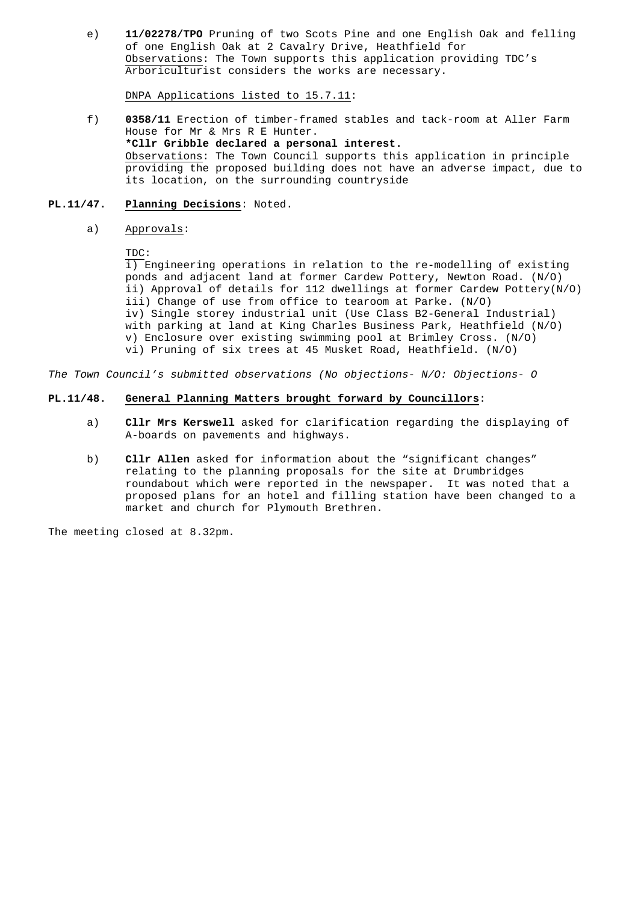e) **11/02278/TPO** Pruning of two Scots Pine and one English Oak and felling of one English Oak at 2 Cavalry Drive, Heathfield for Observations: The Town supports this application providing TDC's Arboriculturist considers the works are necessary.

DNPA Applications listed to 15.7.11:

 f) **0358/11** Erection of timber-framed stables and tack-room at Aller Farm House for Mr & Mrs R E Hunter. **\*Cllr Gribble declared a personal interest.**  Observations: The Town Council supports this application in principle providing the proposed building does not have an adverse impact, due to its location, on the surrounding countryside

# **PL.11/47. Planning Decisions**: Noted.

a) Approvals:

# TDC:

 i) Engineering operations in relation to the re-modelling of existing ponds and adjacent land at former Cardew Pottery, Newton Road. (N/O) ii) Approval of details for 112 dwellings at former Cardew Pottery(N/O) iii) Change of use from office to tearoom at Parke. (N/O) iv) Single storey industrial unit (Use Class B2-General Industrial) with parking at land at King Charles Business Park, Heathfield (N/O) v) Enclosure over existing swimming pool at Brimley Cross. (N/O) vi) Pruning of six trees at 45 Musket Road, Heathfield. (N/O)

The Town Council's submitted observations (No objections- N/O: Objections- O

# **PL.11/48. General Planning Matters brought forward by Councillors**:

- a) **Cllr Mrs Kerswell** asked for clarification regarding the displaying of A-boards on pavements and highways.
- b) **Cllr Allen** asked for information about the "significant changes" relating to the planning proposals for the site at Drumbridges roundabout which were reported in the newspaper. It was noted that a proposed plans for an hotel and filling station have been changed to a market and church for Plymouth Brethren.

The meeting closed at 8.32pm.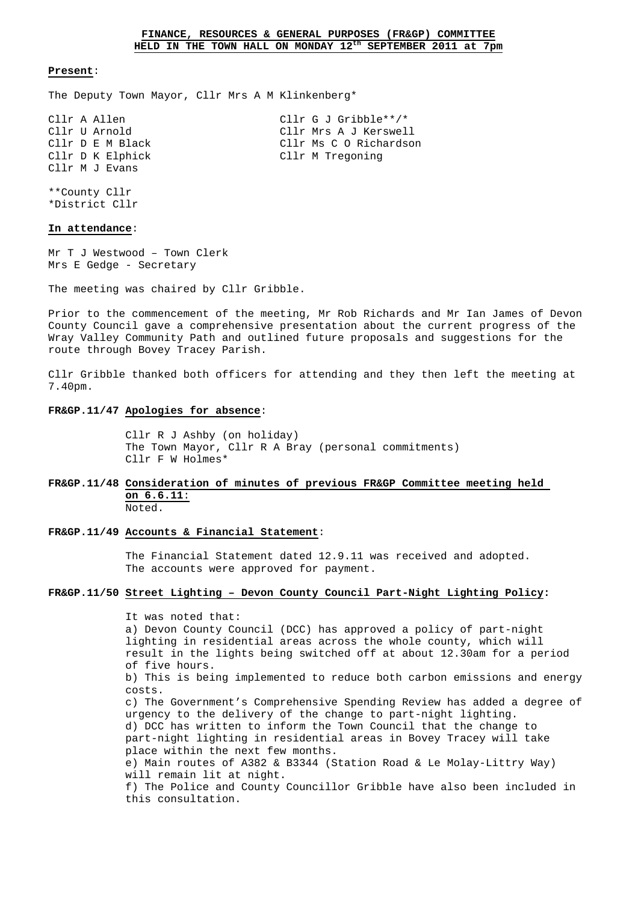The Deputy Town Mayor, Cllr Mrs A M Klinkenberg\*

| Cllr A Allen   |                  | Cllr G J Gribble**/*   |
|----------------|------------------|------------------------|
| Cllr U Arnold  |                  | Cllr Mrs A J Kerswell  |
|                | Cllr D E M Black | Cllr Ms C O Richardson |
|                | Cllr D K Elphick | Cllr M Tregoning       |
| Cllr M J Evans |                  |                        |

\*\*County Cllr \*District Cllr

# **In attendance**:

Mr T J Westwood – Town Clerk Mrs E Gedge - Secretary

The meeting was chaired by Cllr Gribble.

Prior to the commencement of the meeting, Mr Rob Richards and Mr Ian James of Devon County Council gave a comprehensive presentation about the current progress of the Wray Valley Community Path and outlined future proposals and suggestions for the route through Bovey Tracey Parish.

Cllr Gribble thanked both officers for attending and they then left the meeting at 7.40pm.

#### **FR&GP.11/47 Apologies for absence**:

 Cllr R J Ashby (on holiday) The Town Mayor, Cllr R A Bray (personal commitments) Cllr F W Holmes\*

# **FR&GP.11/48 Consideration of minutes of previous FR&GP Committee meeting held on 6.6.11**:

Noted.

# **FR&GP.11/49 Accounts & Financial Statement**:

 The Financial Statement dated 12.9.11 was received and adopted. The accounts were approved for payment.

# **FR&GP.11/50 Street Lighting – Devon County Council Part-Night Lighting Policy:**

 It was noted that: a) Devon County Council (DCC) has approved a policy of part-night lighting in residential areas across the whole county, which will result in the lights being switched off at about 12.30am for a period of five hours. b) This is being implemented to reduce both carbon emissions and energy costs. c) The Government's Comprehensive Spending Review has added a degree of urgency to the delivery of the change to part-night lighting. d) DCC has written to inform the Town Council that the change to part-night lighting in residential areas in Bovey Tracey will take place within the next few months. e) Main routes of A382 & B3344 (Station Road & Le Molay-Littry Way) will remain lit at night. f) The Police and County Councillor Gribble have also been included in this consultation.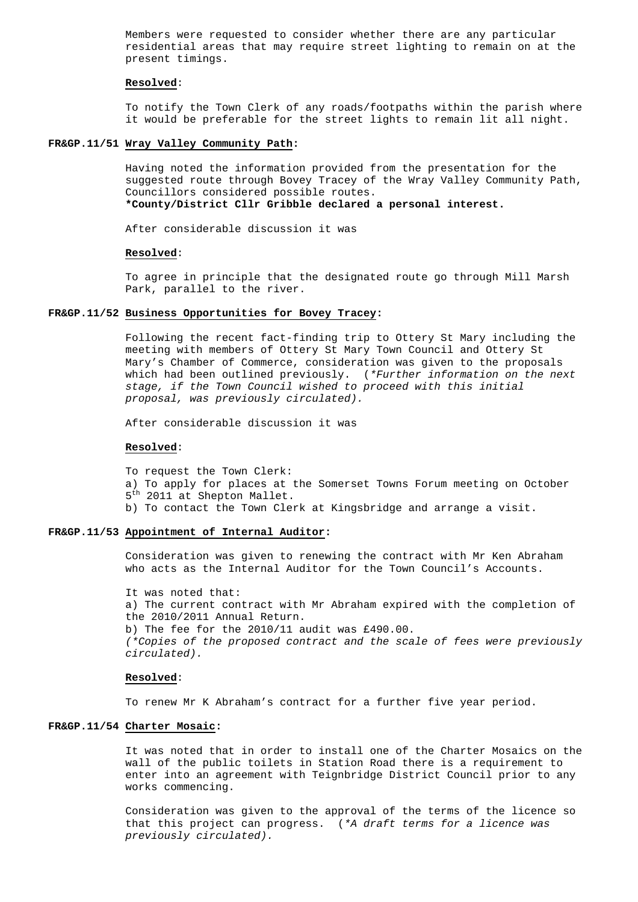Members were requested to consider whether there are any particular residential areas that may require street lighting to remain on at the present timings.

#### **Resolved**:

 To notify the Town Clerk of any roads/footpaths within the parish where it would be preferable for the street lights to remain lit all night.

#### **FR&GP.11/51 Wray Valley Community Path:**

 Having noted the information provided from the presentation for the suggested route through Bovey Tracey of the Wray Valley Community Path, Councillors considered possible routes. **\*County/District Cllr Gribble declared a personal interest.** 

After considerable discussion it was

# **Resolved**:

 To agree in principle that the designated route go through Mill Marsh Park, parallel to the river.

#### **FR&GP.11/52 Business Opportunities for Bovey Tracey:**

 Following the recent fact-finding trip to Ottery St Mary including the meeting with members of Ottery St Mary Town Council and Ottery St Mary's Chamber of Commerce, consideration was given to the proposals which had been outlined previously. (\*Further information on the next stage, if the Town Council wished to proceed with this initial proposal, was previously circulated).

After considerable discussion it was

#### **Resolved**:

To request the Town Clerk:

- a) To apply for places at the Somerset Towns Forum meeting on October 5<sup>th</sup> 2011 at Shepton Mallet.
- b) To contact the Town Clerk at Kingsbridge and arrange a visit.

# **FR&GP.11/53 Appointment of Internal Auditor:**

 Consideration was given to renewing the contract with Mr Ken Abraham who acts as the Internal Auditor for the Town Council's Accounts.

 It was noted that: a) The current contract with Mr Abraham expired with the completion of the 2010/2011 Annual Return. b) The fee for the 2010/11 audit was £490.00. (\*Copies of the proposed contract and the scale of fees were previously circulated).

## **Resolved**:

To renew Mr K Abraham's contract for a further five year period.

# **FR&GP.11/54 Charter Mosaic:**

It was noted that in order to install one of the Charter Mosaics on the wall of the public toilets in Station Road there is a requirement to enter into an agreement with Teignbridge District Council prior to any works commencing.

 Consideration was given to the approval of the terms of the licence so that this project can progress. (\*A draft terms for a licence was previously circulated).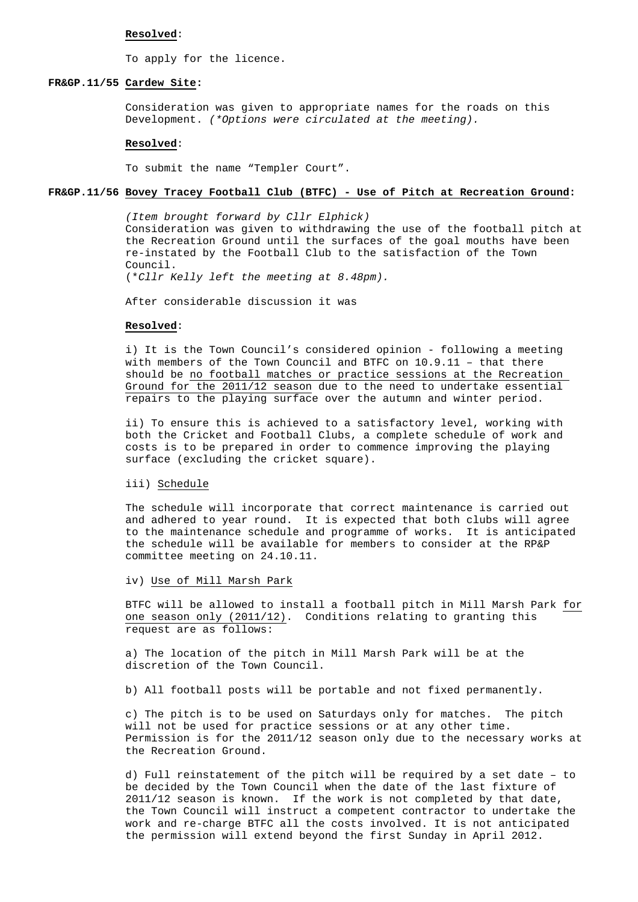#### **Resolved**:

To apply for the licence.

#### **FR&GP.11/55 Cardew Site:**

Consideration was given to appropriate names for the roads on this Development. (\*Options were circulated at the meeting).

#### **Resolved**:

To submit the name "Templer Court".

# **FR&GP.11/56 Bovey Tracey Football Club (BTFC) - Use of Pitch at Recreation Ground:**

(Item brought forward by Cllr Elphick) Consideration was given to withdrawing the use of the football pitch at the Recreation Ground until the surfaces of the goal mouths have been re-instated by the Football Club to the satisfaction of the Town Council. (\*Cllr Kelly left the meeting at 8.48pm).

After considerable discussion it was

#### **Resolved**:

 i) It is the Town Council's considered opinion - following a meeting with members of the Town Council and BTFC on 10.9.11 – that there should be no football matches or practice sessions at the Recreation Ground for the 2011/12 season due to the need to undertake essential repairs to the playing surface over the autumn and winter period.

 ii) To ensure this is achieved to a satisfactory level, working with both the Cricket and Football Clubs, a complete schedule of work and costs is to be prepared in order to commence improving the playing surface (excluding the cricket square).

#### iii) Schedule

 The schedule will incorporate that correct maintenance is carried out and adhered to year round. It is expected that both clubs will agree to the maintenance schedule and programme of works. It is anticipated the schedule will be available for members to consider at the RP&P committee meeting on 24.10.11.

iv) Use of Mill Marsh Park

 BTFC will be allowed to install a football pitch in Mill Marsh Park for one season only (2011/12). Conditions relating to granting this request are as follows:

 a) The location of the pitch in Mill Marsh Park will be at the discretion of the Town Council.

b) All football posts will be portable and not fixed permanently.

 c) The pitch is to be used on Saturdays only for matches. The pitch will not be used for practice sessions or at any other time. Permission is for the 2011/12 season only due to the necessary works at the Recreation Ground.

 d) Full reinstatement of the pitch will be required by a set date – to be decided by the Town Council when the date of the last fixture of 2011/12 season is known. If the work is not completed by that date, the Town Council will instruct a competent contractor to undertake the work and re-charge BTFC all the costs involved. It is not anticipated the permission will extend beyond the first Sunday in April 2012.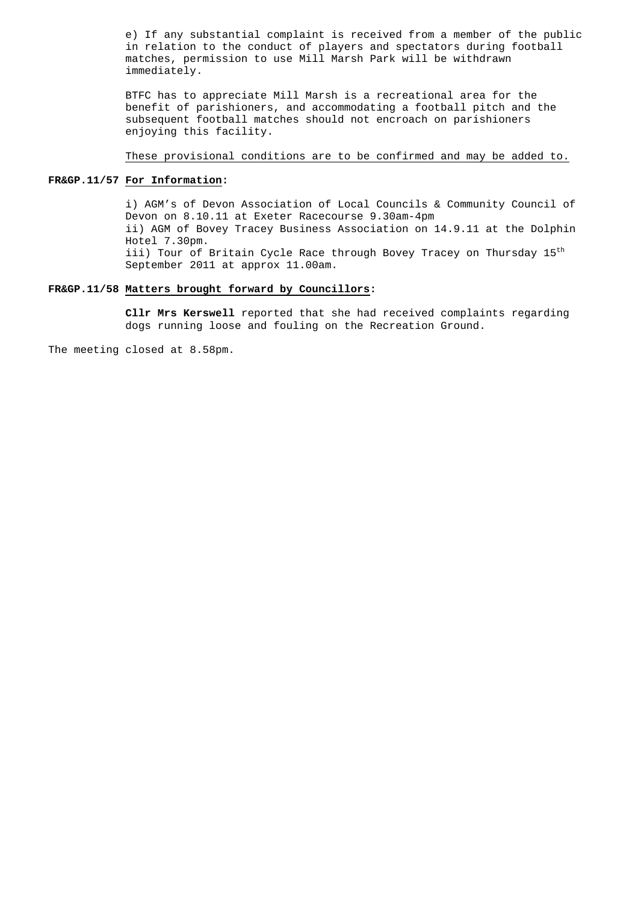e) If any substantial complaint is received from a member of the public in relation to the conduct of players and spectators during football matches, permission to use Mill Marsh Park will be withdrawn immediately.

 BTFC has to appreciate Mill Marsh is a recreational area for the benefit of parishioners, and accommodating a football pitch and the subsequent football matches should not encroach on parishioners enjoying this facility.

These provisional conditions are to be confirmed and may be added to.

# **FR&GP.11/57 For Information:**

 i) AGM's of Devon Association of Local Councils & Community Council of Devon on 8.10.11 at Exeter Racecourse 9.30am-4pm ii) AGM of Bovey Tracey Business Association on 14.9.11 at the Dolphin Hotel 7.30pm. iii) Tour of Britain Cycle Race through Bovey Tracey on Thursday 15<sup>th</sup> September 2011 at approx 11.00am.

# **FR&GP.11/58 Matters brought forward by Councillors:**

 **Cllr Mrs Kerswell** reported that she had received complaints regarding dogs running loose and fouling on the Recreation Ground.

The meeting closed at 8.58pm.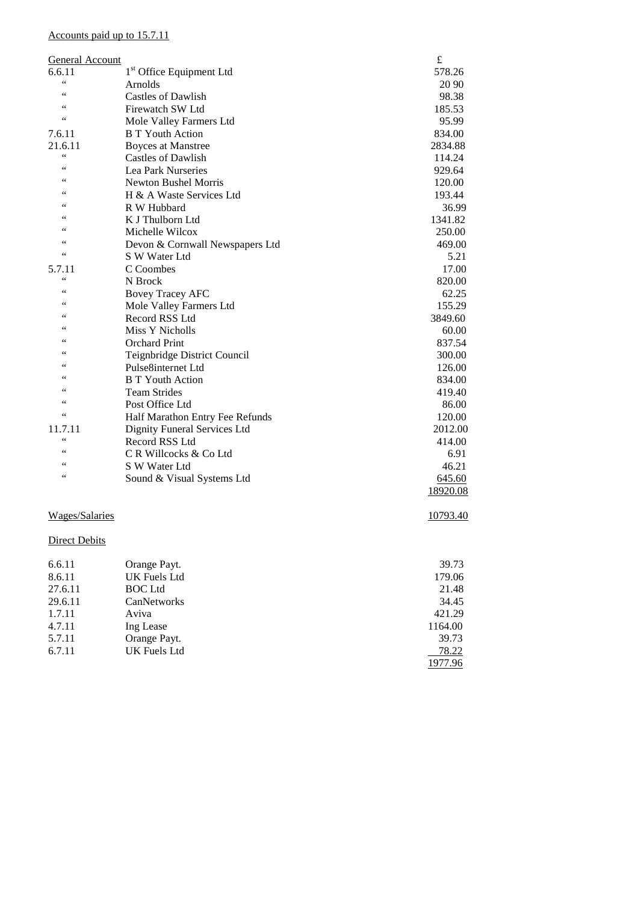# Accounts paid up to 15.7.11

| General Account |                                      | $\pounds$ |
|-----------------|--------------------------------------|-----------|
| 6.6.11          | 1 <sup>st</sup> Office Equipment Ltd | 578.26    |
| $\zeta$ $\zeta$ | Arnolds                              | 20 90     |
| 66              | <b>Castles of Dawlish</b>            | 98.38     |
| 66              | Firewatch SW Ltd                     | 185.53    |
| 66              | Mole Valley Farmers Ltd              | 95.99     |
| 7.6.11          | <b>B</b> T Youth Action              | 834.00    |
| 21.6.11         | <b>Boyces at Manstree</b>            | 2834.88   |
| $\zeta$ $\zeta$ | <b>Castles of Dawlish</b>            | 114.24    |
| 66              | Lea Park Nurseries                   | 929.64    |
| 66              | <b>Newton Bushel Morris</b>          | 120.00    |
| 66              | H & A Waste Services Ltd             | 193.44    |
|                 | R W Hubbard                          | 36.99     |
| 66              | K J Thulborn Ltd                     | 1341.82   |
| 66              | Michelle Wilcox                      | 250.00    |
| 66              | Devon & Cornwall Newspapers Ltd      | 469.00    |
| $\zeta$ $\zeta$ | S W Water Ltd                        | 5.21      |
| 5.7.11          | C Coombes                            | 17.00     |
| 66              | N Brock                              | 820.00    |
| 66              | <b>Bovey Tracey AFC</b>              | 62.25     |
| 66              | Mole Valley Farmers Ltd              | 155.29    |
|                 | Record RSS Ltd                       | 3849.60   |
| 66              | Miss Y Nicholls                      | 60.00     |
| 66              | Orchard Print                        | 837.54    |
| 66              | Teignbridge District Council         | 300.00    |
|                 | Pulse8internet Ltd                   | 126.00    |
| 66              | <b>B T Youth Action</b>              | 834.00    |
|                 | <b>Team Strides</b>                  | 419.40    |
| 66              | Post Office Ltd                      | 86.00     |
| $\zeta$ $\zeta$ | Half Marathon Entry Fee Refunds      | 120.00    |
| 11.7.11         | Dignity Funeral Services Ltd         | 2012.00   |
| $\zeta$ $\zeta$ | Record RSS Ltd                       | 414.00    |
| 66              | C R Willcocks & Co Ltd               | 6.91      |
| 66              | S W Water Ltd                        | 46.21     |
| 66              | Sound & Visual Systems Ltd           | 645.60    |
|                 |                                      | 18920.08  |

# Wages/Salaries 10793.40

# **Direct Debits**

| 6.6.11  | Orange Payt.   | 39.73   |
|---------|----------------|---------|
| 8.6.11  | UK Fuels Ltd   | 179.06  |
| 27.6.11 | <b>BOC</b> Ltd | 21.48   |
| 29.6.11 | CanNetworks    | 34.45   |
| 1.7.11  | Aviva          | 421.29  |
| 4.7.11  | Ing Lease      | 1164.00 |
| 5.7.11  | Orange Payt.   | 39.73   |
| 6.7.11  | UK Fuels Ltd   | 78.22   |
|         |                | 1977.96 |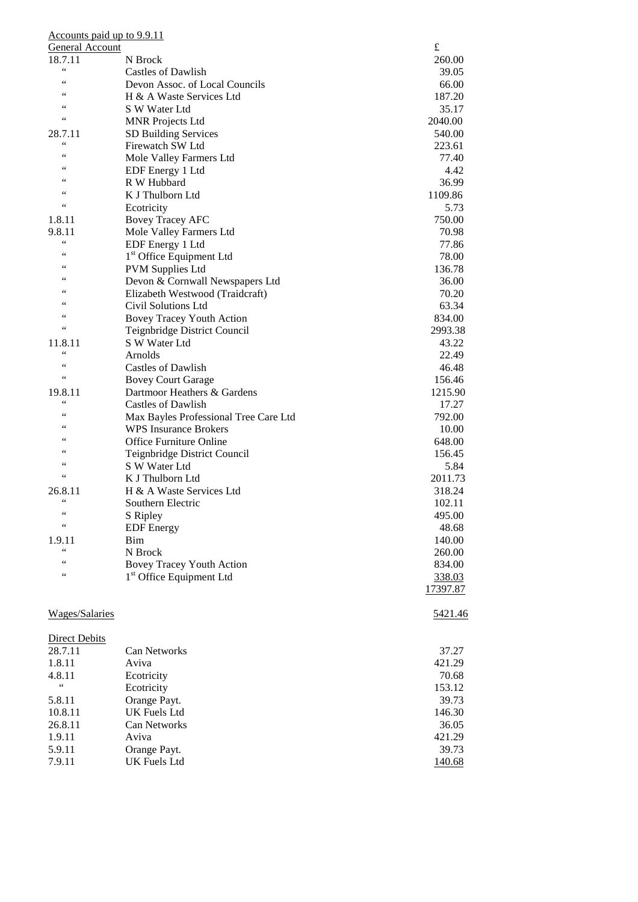| Accounts paid up to 9.9.11 |                                       |           |
|----------------------------|---------------------------------------|-----------|
| General Account            |                                       | $\pounds$ |
| 18.7.11                    | N Brock                               | 260.00    |
| $\zeta$ $\zeta$            | Castles of Dawlish                    | 39.05     |
| 66                         | Devon Assoc. of Local Councils        | 66.00     |
| 66                         | H & A Waste Services Ltd              | 187.20    |
| 66                         | S W Water Ltd                         | 35.17     |
| $\leq$ $\leq$              | <b>MNR Projects Ltd</b>               | 2040.00   |
|                            |                                       |           |
| 28.7.11<br>$\zeta$ $\zeta$ | SD Building Services                  | 540.00    |
| 66                         | Firewatch SW Ltd                      | 223.61    |
| 66                         | Mole Valley Farmers Ltd               | 77.40     |
| 66                         | EDF Energy 1 Ltd                      | 4.42      |
|                            | R W Hubbard                           | 36.99     |
| 66                         | K J Thulborn Ltd                      | 1109.86   |
| 66                         | Ecotricity                            | 5.73      |
| 1.8.11                     | <b>Bovey Tracey AFC</b>               | 750.00    |
| 9.8.11                     | Mole Valley Farmers Ltd               | 70.98     |
| $\zeta$ $\zeta$            | EDF Energy 1 Ltd                      | 77.86     |
| 66                         | 1 <sup>st</sup> Office Equipment Ltd  | 78.00     |
| 66                         | <b>PVM Supplies Ltd</b>               | 136.78    |
| 66                         | Devon & Cornwall Newspapers Ltd       | 36.00     |
| $\epsilon$                 |                                       |           |
| 66                         | Elizabeth Westwood (Traidcraft)       | 70.20     |
| 66                         | Civil Solutions Ltd                   | 63.34     |
| 66                         | <b>Bovey Tracey Youth Action</b>      | 834.00    |
|                            | Teignbridge District Council          | 2993.38   |
| 11.8.11                    | S W Water Ltd                         | 43.22     |
| $\zeta$ $\zeta$            | Arnolds                               | 22.49     |
| 66                         | Castles of Dawlish                    | 46.48     |
| $\leq$ $\leq$              | <b>Bovey Court Garage</b>             | 156.46    |
| 19.8.11                    | Dartmoor Heathers & Gardens           | 1215.90   |
| 66                         | <b>Castles of Dawlish</b>             | 17.27     |
| 66                         | Max Bayles Professional Tree Care Ltd | 792.00    |
| $\epsilon$                 | <b>WPS</b> Insurance Brokers          | 10.00     |
| 66                         | <b>Office Furniture Online</b>        | 648.00    |
| 66                         |                                       | 156.45    |
| 66                         | Teignbridge District Council          |           |
| $\zeta$ $\zeta$            | S W Water Ltd                         | 5.84      |
|                            | K J Thulborn Ltd                      | 2011.73   |
| 26.8.11<br>$\zeta$ $\zeta$ | H & A Waste Services Ltd              | 318.24    |
|                            | Southern Electric                     | 102.11    |
| $\zeta$ $\zeta$            | S Ripley                              | 495.00    |
| $\zeta$ $\zeta$            | <b>EDF</b> Energy                     | 48.68     |
| 1.9.11                     | Bim                                   | 140.00    |
| $\zeta$ $\zeta$            | N Brock                               | 260.00    |
| $\zeta$ $\zeta$            | <b>Bovey Tracey Youth Action</b>      | 834.00    |
| $\zeta$ $\zeta$            | 1 <sup>st</sup> Office Equipment Ltd  | 338.03    |
|                            |                                       | 17397.87  |
|                            |                                       |           |
| Wages/Salaries             |                                       | 5421.46   |
|                            |                                       |           |
|                            |                                       |           |
| <b>Direct Debits</b>       |                                       |           |
| 28.7.11                    | Can Networks                          | 37.27     |
| 1.8.11                     | Aviva                                 | 421.29    |
| 4.8.11                     | Ecotricity                            | 70.68     |
| $\zeta$ $\zeta$            | Ecotricity                            | 153.12    |
| 5.8.11                     | Orange Payt.                          | 39.73     |
| 10.8.11                    | UK Fuels Ltd                          | 146.30    |
| 26.8.11                    | Can Networks                          | 36.05     |
| 1.9.11                     | Aviva                                 | 421.29    |
| 5.9.11                     | Orange Payt.                          | 39.73     |
| 7.9.11                     | UK Fuels Ltd                          | 140.68    |
|                            |                                       |           |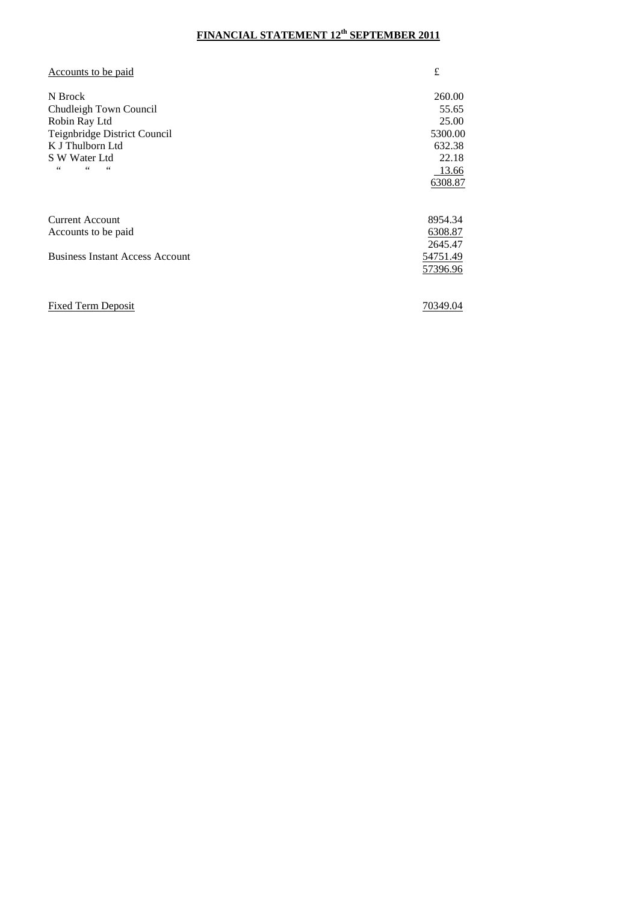# **FINANCIAL STATEMENT 12th SEPTEMBER 2011**

| Accounts to be paid                    | £        |
|----------------------------------------|----------|
| N Brock                                | 260.00   |
| Chudleigh Town Council                 | 55.65    |
| Robin Ray Ltd                          | 25.00    |
| Teignbridge District Council           | 5300.00  |
| K J Thulborn Ltd                       | 632.38   |
| S W Water Ltd                          | 22.18    |
| 44<br>66<br>44                         | 13.66    |
|                                        | 6308.87  |
|                                        |          |
| <b>Current Account</b>                 | 8954.34  |
| Accounts to be paid                    | 6308.87  |
|                                        | 2645.47  |
| <b>Business Instant Access Account</b> | 54751.49 |
|                                        | 57396.96 |
|                                        |          |
| <b>Fixed Term Deposit</b>              | 70349.04 |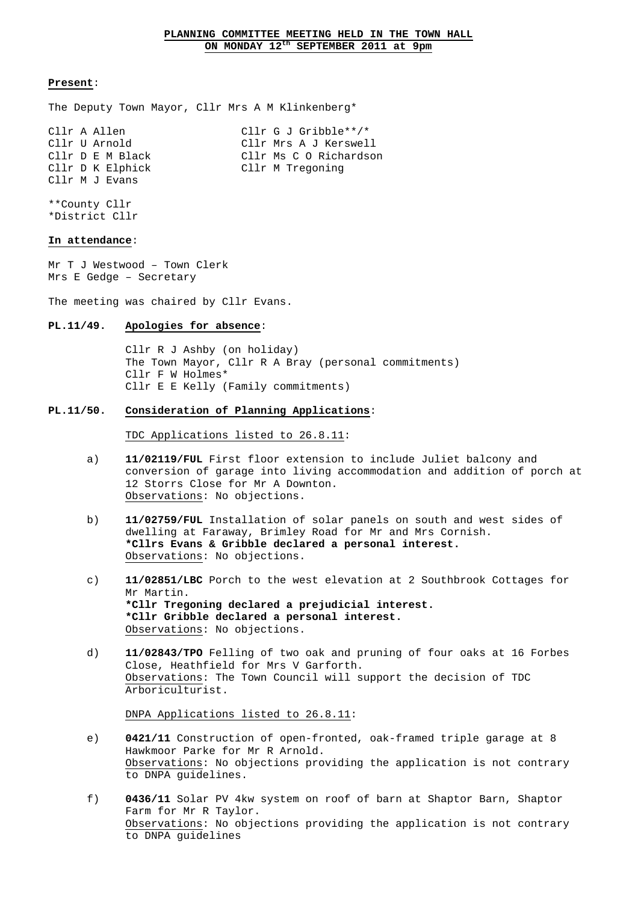The Deputy Town Mayor, Cllr Mrs A M Klinkenberg\*

| Cllr A Allen     | Cllr G J Gribble**/*   |
|------------------|------------------------|
| Cllr U Arnold    | Cllr Mrs A J Kerswell  |
| Cllr D E M Black | Cllr Ms C O Richardson |
| Cllr D K Elphick | Cllr M Tregoning       |
| Cllr M J Evans   |                        |

\*\*County Cllr \*District Cllr

# **In attendance**:

Mr T J Westwood – Town Clerk Mrs E Gedge – Secretary

The meeting was chaired by Cllr Evans.

# **PL.11/49. Apologies for absence**:

 Cllr R J Ashby (on holiday) The Town Mayor, Cllr R A Bray (personal commitments) Cllr F W Holmes\* Cllr E E Kelly (Family commitments)

#### **PL.11/50. Consideration of Planning Applications**:

TDC Applications listed to 26.8.11:

- a) **11/02119/FUL** First floor extension to include Juliet balcony and conversion of garage into living accommodation and addition of porch at 12 Storrs Close for Mr A Downton. Observations: No objections.
- b) **11/02759/FUL** Installation of solar panels on south and west sides of dwelling at Faraway, Brimley Road for Mr and Mrs Cornish. **\*Cllrs Evans & Gribble declared a personal interest.**  Observations: No objections.
- c) **11/02851/LBC** Porch to the west elevation at 2 Southbrook Cottages for Mr Martin. **\*Cllr Tregoning declared a prejudicial interest. \*Cllr Gribble declared a personal interest.**  Observations: No objections.
- d) **11/02843/TPO** Felling of two oak and pruning of four oaks at 16 Forbes Close, Heathfield for Mrs V Garforth. Observations: The Town Council will support the decision of TDC Arboriculturist.

DNPA Applications listed to 26.8.11:

- e) **0421/11** Construction of open-fronted, oak-framed triple garage at 8 Hawkmoor Parke for Mr R Arnold. Observations: No objections providing the application is not contrary to DNPA guidelines.
- f) **0436/11** Solar PV 4kw system on roof of barn at Shaptor Barn, Shaptor Farm for Mr R Taylor. Observations: No objections providing the application is not contrary to DNPA guidelines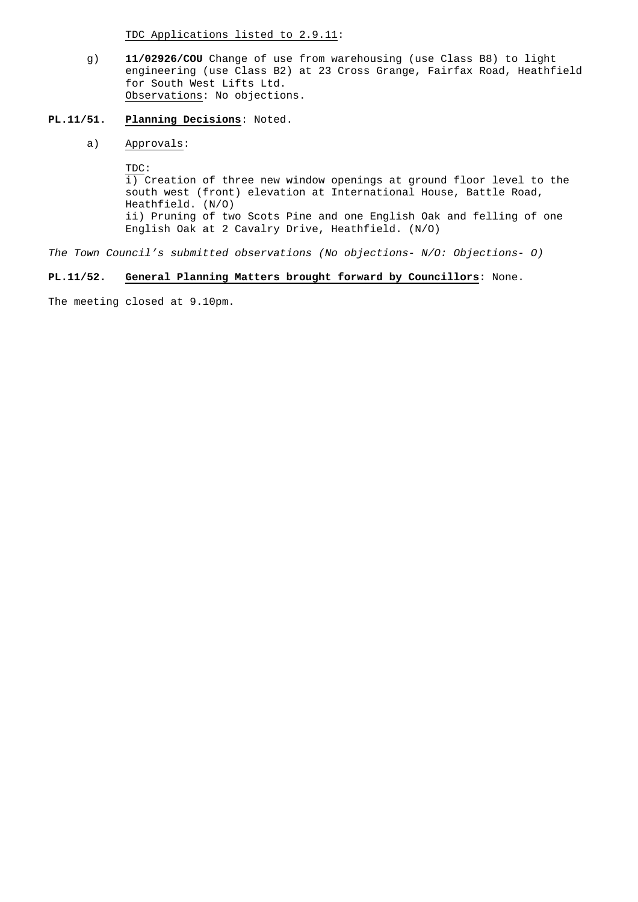TDC Applications listed to 2.9.11:

 g) **11/02926/COU** Change of use from warehousing (use Class B8) to light engineering (use Class B2) at 23 Cross Grange, Fairfax Road, Heathfield for South West Lifts Ltd. Observations: No objections.

# **PL.11/51. Planning Decisions**: Noted.

a) Approvals:

TDC:

 i) Creation of three new window openings at ground floor level to the south west (front) elevation at International House, Battle Road, Heathfield. (N/O) ii) Pruning of two Scots Pine and one English Oak and felling of one English Oak at 2 Cavalry Drive, Heathfield. (N/O)

The Town Council's submitted observations (No objections- N/O: Objections- O)

# **PL.11/52. General Planning Matters brought forward by Councillors**: None.

The meeting closed at 9.10pm.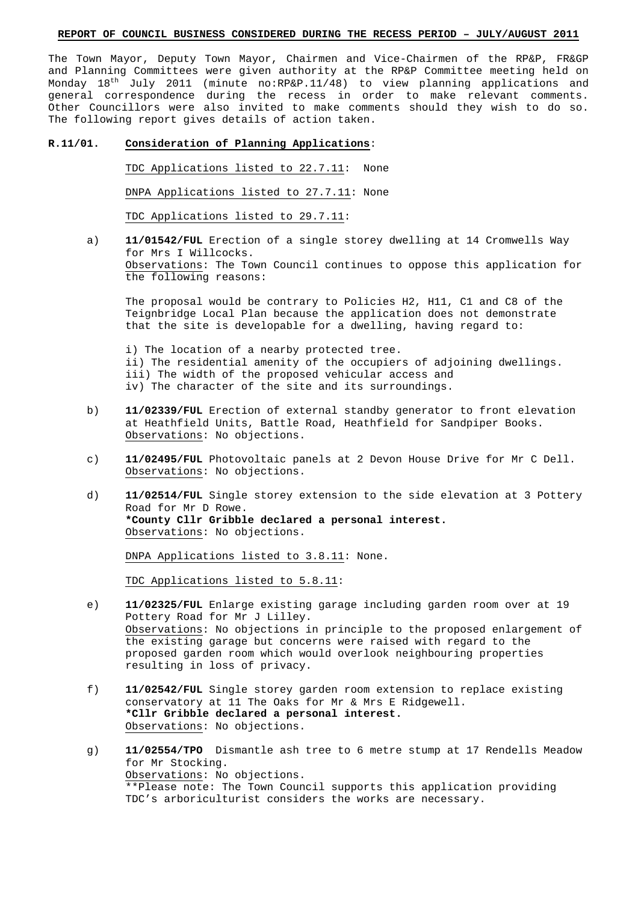# **REPORT OF COUNCIL BUSINESS CONSIDERED DURING THE RECESS PERIOD – JULY/AUGUST 2011**

The Town Mayor, Deputy Town Mayor, Chairmen and Vice-Chairmen of the RP&P, FR&GP and Planning Committees were given authority at the RP&P Committee meeting held on Monday  $18<sup>th</sup>$  July 2011 (minute no:RP&P.11/48) to view planning applications and general correspondence during the recess in order to make relevant comments. Other Councillors were also invited to make comments should they wish to do so. The following report gives details of action taken.

#### **R.11/01. Consideration of Planning Applications**:

TDC Applications listed to 22.7.11: None

DNPA Applications listed to 27.7.11: None

TDC Applications listed to 29.7.11:

 a) **11/01542/FUL** Erection of a single storey dwelling at 14 Cromwells Way for Mrs I Willcocks. Observations: The Town Council continues to oppose this application for the following reasons:

 The proposal would be contrary to Policies H2, H11, C1 and C8 of the Teignbridge Local Plan because the application does not demonstrate that the site is developable for a dwelling, having regard to:

 i) The location of a nearby protected tree. ii) The residential amenity of the occupiers of adjoining dwellings. iii) The width of the proposed vehicular access and iv) The character of the site and its surroundings.

- b) **11/02339/FUL** Erection of external standby generator to front elevation at Heathfield Units, Battle Road, Heathfield for Sandpiper Books. Observations: No objections.
- c) **11/02495/FUL** Photovoltaic panels at 2 Devon House Drive for Mr C Dell. Observations: No objections.
- d) **11/02514/FUL** Single storey extension to the side elevation at 3 Pottery Road for Mr D Rowe.  **\*County Cllr Gribble declared a personal interest.** Observations: No objections.

DNPA Applications listed to 3.8.11: None.

TDC Applications listed to 5.8.11:

- e) **11/02325/FUL** Enlarge existing garage including garden room over at 19 Pottery Road for Mr J Lilley. Observations: No objections in principle to the proposed enlargement of the existing garage but concerns were raised with regard to the proposed garden room which would overlook neighbouring properties resulting in loss of privacy.
- f) **11/02542/FUL** Single storey garden room extension to replace existing conservatory at 11 The Oaks for Mr & Mrs E Ridgewell. **\*Cllr Gribble declared a personal interest.**  Observations: No objections.
- g) **11/02554/TPO** Dismantle ash tree to 6 metre stump at 17 Rendells Meadow for Mr Stocking. Observations: No objections. \*\*Please note: The Town Council supports this application providing TDC's arboriculturist considers the works are necessary.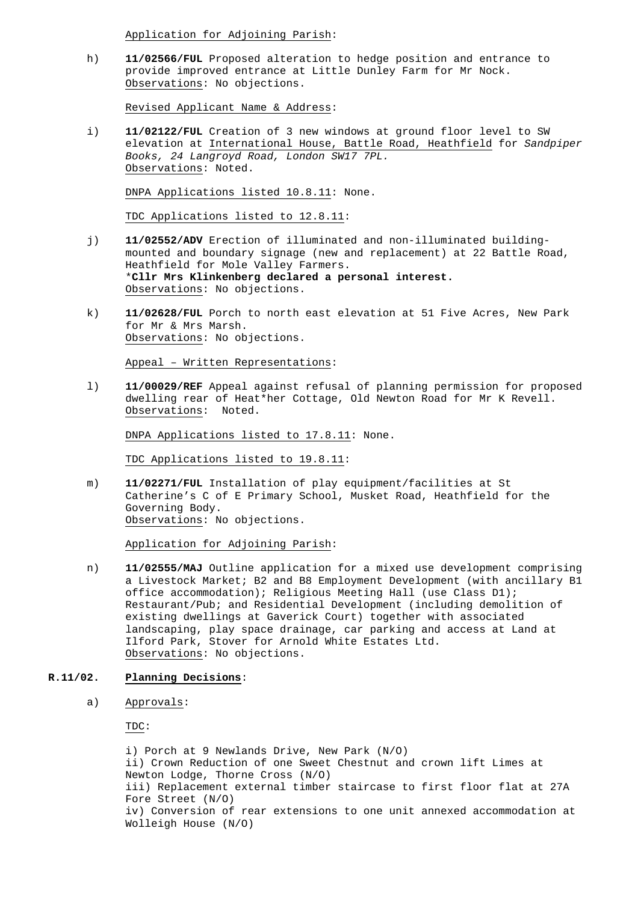Application for Adjoining Parish:

 h) **11/02566/FUL** Proposed alteration to hedge position and entrance to provide improved entrance at Little Dunley Farm for Mr Nock. Observations: No objections.

Revised Applicant Name & Address:

 i) **11/02122/FUL** Creation of 3 new windows at ground floor level to SW elevation at International House, Battle Road, Heathfield for Sandpiper Books, 24 Langroyd Road, London SW17 7PL. Observations: Noted.

DNPA Applications listed 10.8.11: None.

TDC Applications listed to 12.8.11:

- j) **11/02552/ADV** Erection of illuminated and non-illuminated building mounted and boundary signage (new and replacement) at 22 Battle Road, Heathfield for Mole Valley Farmers. \***Cllr Mrs Klinkenberg declared a personal interest.**  Observations: No objections.
- k) **11/02628/FUL** Porch to north east elevation at 51 Five Acres, New Park for Mr & Mrs Marsh. Observations: No objections.

Appeal – Written Representations:

 l) **11/00029/REF** Appeal against refusal of planning permission for proposed dwelling rear of Heat\*her Cottage, Old Newton Road for Mr K Revell. Observations: Noted.

DNPA Applications listed to 17.8.11: None.

TDC Applications listed to 19.8.11:

 m) **11/02271/FUL** Installation of play equipment/facilities at St Catherine's C of E Primary School, Musket Road, Heathfield for the Governing Body. Observations: No objections.

Application for Adjoining Parish:

 n) **11/02555/MAJ** Outline application for a mixed use development comprising a Livestock Market; B2 and B8 Employment Development (with ancillary B1 office accommodation); Religious Meeting Hall (use Class D1); Restaurant/Pub; and Residential Development (including demolition of existing dwellings at Gaverick Court) together with associated landscaping, play space drainage, car parking and access at Land at Ilford Park, Stover for Arnold White Estates Ltd. Observations: No objections.

# **R.11/02. Planning Decisions**:

a) Approvals:

TDC:

 i) Porch at 9 Newlands Drive, New Park (N/O) ii) Crown Reduction of one Sweet Chestnut and crown lift Limes at Newton Lodge, Thorne Cross (N/O) iii) Replacement external timber staircase to first floor flat at 27A Fore Street (N/O) iv) Conversion of rear extensions to one unit annexed accommodation at Wolleigh House (N/O)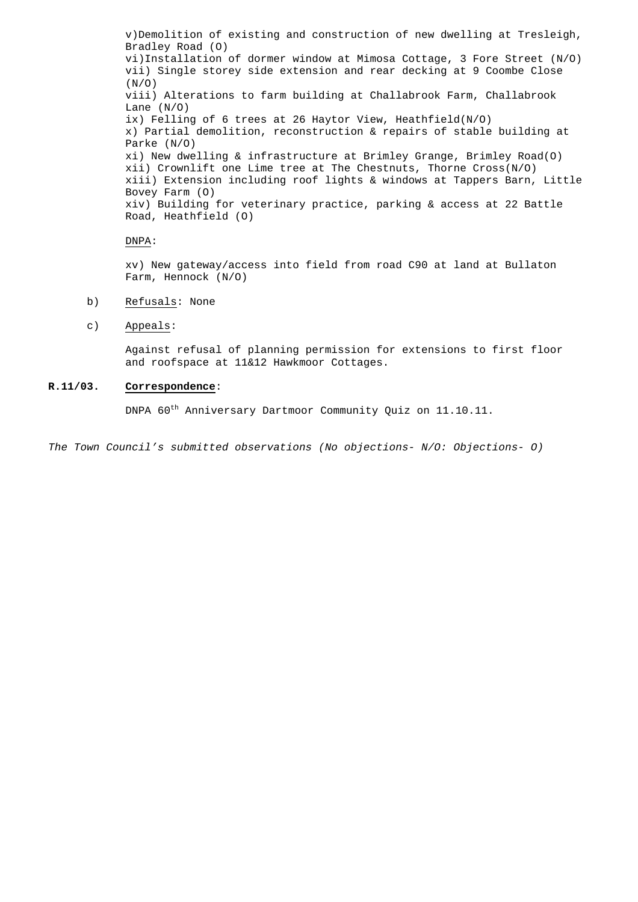v)Demolition of existing and construction of new dwelling at Tresleigh, Bradley Road (O) vi)Installation of dormer window at Mimosa Cottage, 3 Fore Street (N/O) vii) Single storey side extension and rear decking at 9 Coombe Close  $(N/O)$  viii) Alterations to farm building at Challabrook Farm, Challabrook Lane (N/O) ix) Felling of 6 trees at 26 Haytor View, Heathfield(N/O) x) Partial demolition, reconstruction & repairs of stable building at Parke (N/O) xi) New dwelling & infrastructure at Brimley Grange, Brimley Road(O) xii) Crownlift one Lime tree at The Chestnuts, Thorne Cross(N/O) xiii) Extension including roof lights & windows at Tappers Barn, Little Bovey Farm (O) xiv) Building for veterinary practice, parking & access at 22 Battle Road, Heathfield (O)

# DNPA:

 xv) New gateway/access into field from road C90 at land at Bullaton Farm, Hennock (N/O)

- b) Refusals: None
- c) Appeals:

 Against refusal of planning permission for extensions to first floor and roofspace at 11&12 Hawkmoor Cottages.

# **R.11/03. Correspondence**:

DNPA  $60^{\text{th}}$  Anniversary Dartmoor Community Quiz on 11.10.11.

The Town Council's submitted observations (No objections- N/O: Objections- O)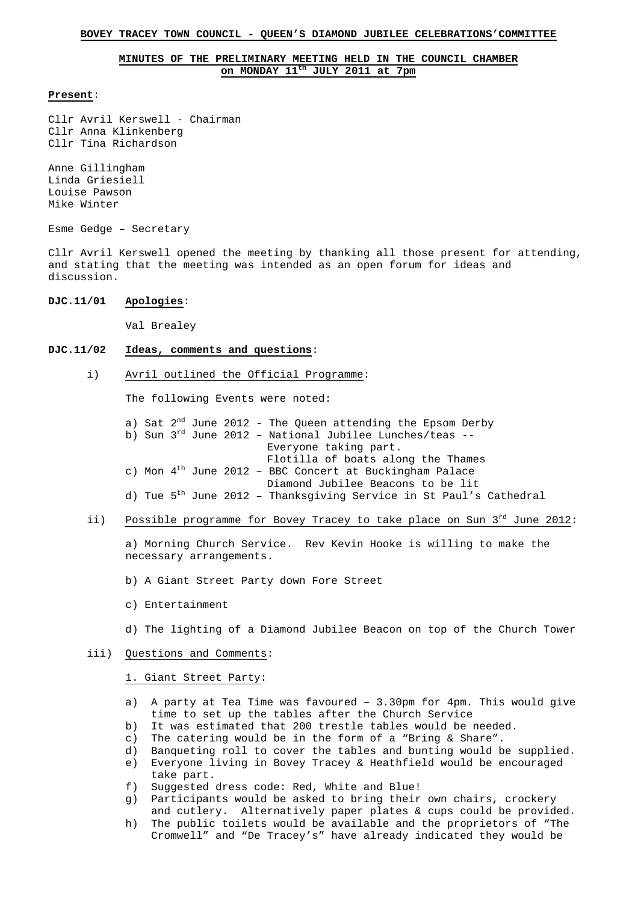#### **BOVEY TRACEY TOWN COUNCIL - QUEEN'S DIAMOND JUBILEE CELEBRATIONS'COMMITTEE**

# **MINUTES OF THE PRELIMINARY MEETING HELD IN THE COUNCIL CHAMBER on MONDAY 11th JULY 2011 at 7pm**

#### **Present**:

Cllr Avril Kerswell - Chairman Cllr Anna Klinkenberg Cllr Tina Richardson

Anne Gillingham Linda Griesiell Louise Pawson Mike Winter

Esme Gedge – Secretary

Cllr Avril Kerswell opened the meeting by thanking all those present for attending, and stating that the meeting was intended as an open forum for ideas and discussion.

# **DJC.11/01 Apologies**:

Val Brealey

# **DJC.11/02 Ideas, comments and questions**:

i) Avril outlined the Official Programme:

The following Events were noted:

a) Sat  $2^{nd}$  June 2012 - The Queen attending the Epsom Derby b) Sun  $3^{rd}$  June 2012 - National Jubilee Lunches/teas -- Everyone taking part. Flotilla of boats along the Thames c) Mon  $4<sup>th</sup>$  June 2012 - BBC Concert at Buckingham Palace Diamond Jubilee Beacons to be lit d) Tue 5<sup>th</sup> June 2012 - Thanksgiving Service in St Paul's Cathedral

# ii) Possible programme for Bovey Tracey to take place on Sun 3rd June 2012:

 a) Morning Church Service. Rev Kevin Hooke is willing to make the necessary arrangements.

- b) A Giant Street Party down Fore Street
- c) Entertainment

d) The lighting of a Diamond Jubilee Beacon on top of the Church Tower

#### iii) Questions and Comments:

#### 1. Giant Street Party:

- a) A party at Tea Time was favoured  $-3.30$ pm for  $4$ pm. This would give time to set up the tables after the Church Service
- b) It was estimated that 200 trestle tables would be needed.
- c) The catering would be in the form of a "Bring & Share".
- d) Banqueting roll to cover the tables and bunting would be supplied.
- e) Everyone living in Bovey Tracey & Heathfield would be encouraged take part.
- f) Suggested dress code: Red, White and Blue!
- g) Participants would be asked to bring their own chairs, crockery and cutlery. Alternatively paper plates & cups could be provided.
- h) The public toilets would be available and the proprietors of "The Cromwell" and "De Tracey's" have already indicated they would be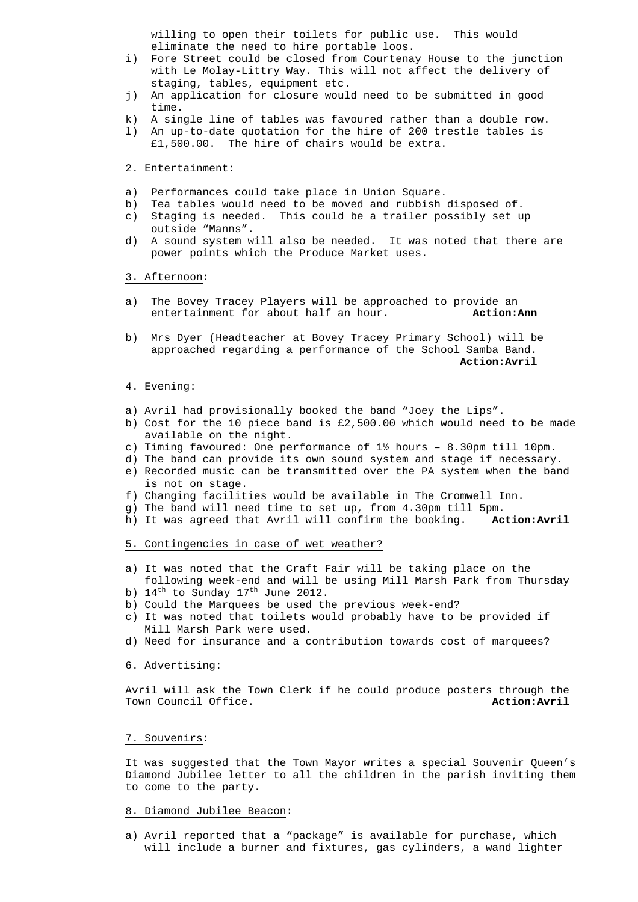willing to open their toilets for public use. This would eliminate the need to hire portable loos.

- i) Fore Street could be closed from Courtenay House to the junction with Le Molay-Littry Way. This will not affect the delivery of staging, tables, equipment etc.
- j) An application for closure would need to be submitted in good time.
- k) A single line of tables was favoured rather than a double row.
- l) An up-to-date quotation for the hire of 200 trestle tables is £1,500.00. The hire of chairs would be extra.

2. Entertainment:

- a) Performances could take place in Union Square.
- b) Tea tables would need to be moved and rubbish disposed of.
- c) Staging is needed. This could be a trailer possibly set up outside "Manns".
- d) A sound system will also be needed. It was noted that there are power points which the Produce Market uses.

# 3. Afternoon:

- a) The Bovey Tracey Players will be approached to provide an entertainment for about half an hour. **Action:Ann**
- b) Mrs Dyer (Headteacher at Bovey Tracey Primary School) will be approached regarding a performance of the School Samba Band. **Action:Avril**

#### 4. Evening:

- a) Avril had provisionally booked the band "Joey the Lips".
- b) Cost for the 10 piece band is £2,500.00 which would need to be made available on the night.
- c) Timing favoured: One performance of 1½ hours 8.30pm till 10pm.
- d) The band can provide its own sound system and stage if necessary.
- e) Recorded music can be transmitted over the PA system when the band is not on stage.
- f) Changing facilities would be available in The Cromwell Inn.
- g) The band will need time to set up, from 4.30pm till 5pm.
- h) It was agreed that Avril will confirm the booking. **Action:Avril**

# 5. Contingencies in case of wet weather?

- a) It was noted that the Craft Fair will be taking place on the
- following week-end and will be using Mill Marsh Park from Thursday b)  $14^{\text{th}}$  to Sunday  $17^{\text{th}}$  June 2012.
- b) Could the Marquees be used the previous week-end?
- c) It was noted that toilets would probably have to be provided if Mill Marsh Park were used.
- d) Need for insurance and a contribution towards cost of marquees?

#### 6. Advertising:

 Avril will ask the Town Clerk if he could produce posters through the Town Council Office. **Action:Avril Action:Avril Action:Avril** 

#### 7. Souvenirs:

 It was suggested that the Town Mayor writes a special Souvenir Queen's Diamond Jubilee letter to all the children in the parish inviting them to come to the party.

#### 8. Diamond Jubilee Beacon:

a) Avril reported that a "package" is available for purchase, which will include a burner and fixtures, gas cylinders, a wand lighter